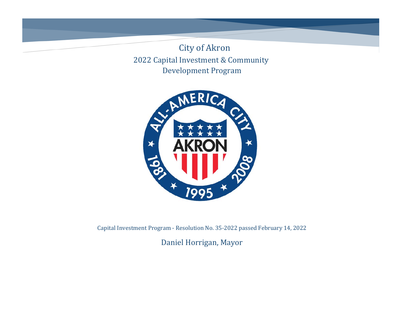2022 Capital Investment & Community Development Program City of Akron



Capital Investment Program - Resolution No. 35-2022 passed February 14, 2022

Daniel Horrigan, Mayor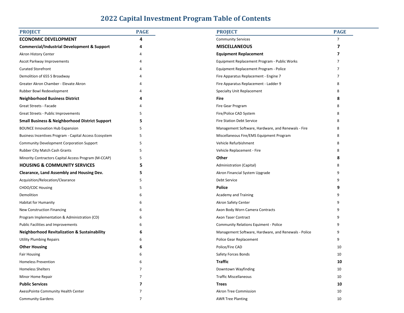## **2022 Capital Investment Program Table of Contents**

| <b>PROJECT</b>                                            | <b>PAGE</b>    | <b>PROJECT</b>                                       | <b>PAGE</b>    |
|-----------------------------------------------------------|----------------|------------------------------------------------------|----------------|
| <b>ECONOMIC DEVELOPMENT</b>                               | Δ              | <b>Community Services</b>                            | $\overline{7}$ |
| <b>Commercial/Industrial Development &amp; Support</b>    |                | <b>MISCELLANEOUS</b>                                 | 7              |
| Akron History Center                                      |                | <b>Equipment Replacement</b>                         | 7              |
| Ascot Parkway Improvements                                |                | Equipment Replacement Program - Public Works         |                |
| <b>Curated Storefront</b>                                 |                | Equipment Replacement Program - Police               |                |
| Demolition of 655 S Broadway                              |                | Fire Apparatus Replacement - Engine 7                | 7              |
| Greater Akron Chamber - Elevate Akron                     |                | Fire Apparatus Replacement - Ladder 9                | 8              |
| Rubber Bowl Redevelopment                                 |                | Specialty Unit Replacement                           | 8              |
| <b>Neighborhood Business District</b>                     |                | Fire                                                 | 8              |
| Great Streets - Facade                                    |                | Fire Gear Program                                    | 8              |
| Great Streets - Public Improvements                       | 5              | Fire/Police CAD System                               | 8              |
| <b>Small Business &amp; Neighborhood District Support</b> | 5              | <b>Fire Station Debt Service</b>                     | 8              |
| <b>BOUNCE Innovation Hub Expansion</b>                    | 5              | Management Software, Hardware, and Renewals - Fire   | 8              |
| Business Incentives Program - Capital Access Ecosystem    | 5              | Miscellaneous Fire/EMS Equipment Program             | 8              |
| Community Development Corporation Support                 | 5              | Vehicle Refurbishment                                | 8              |
| Rubber City Match Cash Grants                             | 5              | Vehicle Replacement - Fire                           | 8              |
| Minority Contractors Capital Access Program (M-CCAP)      | 5              | Other                                                | 8              |
| <b>HOUSING &amp; COMMUNITY SERVICES</b>                   |                | Administration (Capital)                             | 8              |
| Clearance, Land Assembly and Housing Dev.                 |                | Akron Financial System Upgrade                       | 9              |
| Acquisition/Relocation/Clearance                          | 5              | Debt Service                                         | 9              |
| CHDO/CDC Housing                                          | 5              | <b>Police</b>                                        | 9              |
| Demolition                                                | 6              | Academy and Training                                 | 9              |
| Habitat for Humanity                                      |                | Akron Safety Center                                  | 9              |
| <b>New Construction Financing</b>                         | h              | Axon Body Worn Camera Contracts                      | 9              |
| Program Implementation & Administration (CD)              | 6              | Axon Taser Contract                                  | 9              |
| Public Facilities and Improvements                        | 6              | <b>Community Relations Equiment - Police</b>         | 9              |
| <b>Neighborhood Revitalization &amp; Sustainability</b>   | 6              | Management Software, Hardware, and Renewals - Police | 9              |
| <b>Utility Plumbing Repairs</b>                           |                | Police Gear Replacement                              | 9              |
| <b>Other Housing</b>                                      | 6              | Police/Fire CAD                                      | 10             |
| <b>Fair Housing</b>                                       | 6              | Safety Forces Bonds                                  | 10             |
| <b>Homeless Prevention</b>                                | 6              | <b>Traffic</b>                                       | 10             |
| <b>Homeless Shelters</b>                                  | $\overline{7}$ | Downtown Wayfinding                                  | 10             |
| Minor Home Repair                                         | 7              | <b>Traffic Miscellaneous</b>                         | 10             |
| <b>Public Services</b>                                    | 7              | <b>Trees</b>                                         | 10             |
| AxessPointe Community Health Center                       | 7              | <b>Akron Tree Commission</b>                         | 10             |
| <b>Community Gardens</b>                                  | 7              | <b>AWR Tree Planting</b>                             | 10             |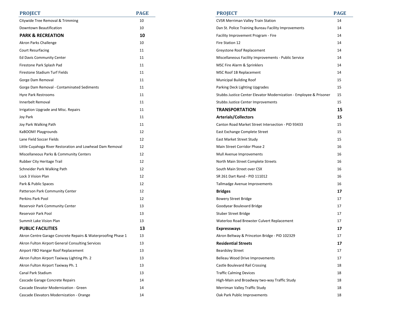| <b>PROJECT</b>                                               | <b>PAGE</b> | <b>PROJECT</b>                                                     | <b>PAGE</b> |
|--------------------------------------------------------------|-------------|--------------------------------------------------------------------|-------------|
| Citywide Tree Removal & Trimming                             | 10          | CVSR Merriman Valley Train Station                                 | 14          |
| Downtown Beautification                                      | 10          | Dan St. Police Training Bureau Facility Improvements               | 14          |
| <b>PARK &amp; RECREATION</b>                                 | 10          | Facility Improvement Program - Fire                                | 14          |
| Akron Parks Challenge                                        | 10          | Fire Station 12                                                    | 14          |
| <b>Court Resurfacing</b>                                     | 11          | Greystone Roof Replacement                                         | 14          |
| <b>Ed Davis Community Center</b>                             | 11          | Miscellaneous Facility Improvements - Public Service               | 14          |
| Firestone Park Splash Pad                                    | 11          | MSC Fire Alarm & Sprinklers                                        | 14          |
| Firestone Stadium Turf Fields                                | 11          | MSC Roof 1B Replacement                                            | 14          |
| Gorge Dam Removal                                            | 11          | <b>Municipal Building Roof</b>                                     | 15          |
| Gorge Dam Removal - Contaminated Sediments                   | 11          | Parking Deck Lighting Upgrades                                     | 15          |
| Hyre Park Restrooms                                          | 11          | Stubbs Justice Center Elevator Modernization - Employee & Prisoner | 15          |
| Innerbelt Removal                                            | 11          | Stubbs Justice Center Improvements                                 | 15          |
| Irrigation Upgrade and Misc. Repairs                         | 11          | <b>TRANSPORTATION</b>                                              | 15          |
| Joy Park                                                     | 11          | <b>Arterials/Collectors</b>                                        | 15          |
| Joy Park Walking Path                                        | 11          | Canton Road Market Street Intersection - PID 93433                 | 15          |
| KaBOOM! Playgrounds                                          | 12          | East Exchange Complete Street                                      | 15          |
| Lane Field Soccer Fields                                     | 12          | East Market Street Study                                           | 15          |
| Little Cuyahoga River Restoration and Lowhead Dam Removal    | 12          | Main Street Corridor Phase 2                                       | 16          |
| Miscellaneous Parks & Community Centers                      | 12          | Mull Avenue Improvements                                           | 16          |
| Rubber City Heritage Trail                                   | 12          | North Main Street Complete Streets                                 | 16          |
| Schneider Park Walking Path                                  | 12          | South Main Street over CSX                                         | 16          |
| Lock 3 Vision Plan                                           | 12          | SR 261 Dart Rand - PID 111012                                      | 16          |
| Park & Public Spaces                                         | 12          | Tallmadge Avenue Improvements                                      | 16          |
| Patterson Park Community Center                              | 12          | <b>Bridges</b>                                                     | 17          |
| Perkins Park Pool                                            | 12          | <b>Bowery Street Bridge</b>                                        | 17          |
| Reservoir Park Community Center                              | 13          | Goodyear Boulevard Bridge                                          | 17          |
| Reservoir Park Pool                                          | 13          | Stuber Street Bridge                                               | 17          |
| Summit Lake Vision Plan                                      | 13          | Waterloo Road Brewster Culvert Replacement                         | 17          |
| <b>PUBLIC FACILITIES</b>                                     | 13          | <b>Expressways</b>                                                 | 17          |
| Akron Centre Garage Concrete Repairs & Waterproofing Phase 1 | 13          | Akron Beltway & Princeton Bridge - PID 102329                      | 17          |
| Akron Fulton Airport General Consulting Services             | 13          | <b>Residential Streets</b>                                         | 17          |
| Airport FBO Hangar Roof Replacement                          | 13          | <b>Beardsley Street</b>                                            | 17          |
| Akron Fulton Airport Taxiway Lighting Ph. 2                  | 13          | Belleau Wood Drive Improvements                                    | 17          |
| Akron Fulton Airport Taxiway Ph. 1                           | 13          | Castle Boulevard Rail Crossing                                     | 18          |
| Canal Park Stadium                                           | 13          | <b>Traffic Calming Devices</b>                                     | 18          |
| Cascade Garage Concrete Repairs                              | 14          | High-Main and Broadway two-way Traffic Study                       | 18          |
| Cascade Elevator Modernization - Green                       | 14          | Merriman Valley Traffic Study                                      | 18          |
| Cascade Elevators Modernization - Orange                     | 14          | Oak Park Public Improvements                                       | 18          |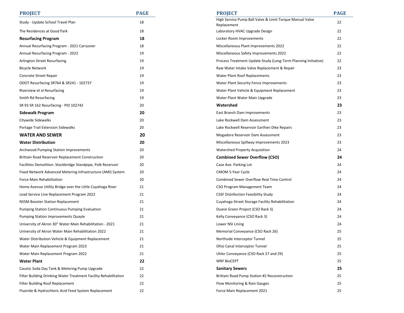| <b>PROJECT</b>                                                   | <b>PAGE</b> | <b>PROJECT</b>                                                 | <b>PAGE</b> |
|------------------------------------------------------------------|-------------|----------------------------------------------------------------|-------------|
| Study - Update School Travel Plan                                | 18          | High Service Pump Ball Valve & Limit-Torque Manual Valve       | 22          |
| The Residences at Good Park                                      | 18          | Replacement                                                    | 22          |
|                                                                  |             | Laboratory HVAC Upgrade Design                                 |             |
| <b>Resurfacing Program</b>                                       | 18          | Locker Room Improvements                                       | 22          |
| Annual Resurfacing Program - 2021 Carryover                      | 18          | Miscellaneous Plant Improvements 2022                          | 22          |
| Annual Resurfacing Program - 2022                                | 19          | Miscellaneous Safety Improvements 2022                         | 22          |
| Arlington Street Resurfacing                                     | 19          | Process Treatment Update Study (Long-Term Planning Initiative) | 22          |
| <b>Bicycle Network</b>                                           | 19          | Raw Water Intake Valve Replacement & Repair                    | 23          |
| Concrete Street Repair                                           | 19          | Water Plant Roof Replacements                                  | 23          |
| ODOT Resurfacing SR764 & SR241 - 102737                          | 19          | Water Plant Security Fence Improvements                        | 23          |
| Riverview et al Resurfacing                                      | 19          | Water Plant Vehicle & Equipment Replacement                    | 23          |
| Smith Rd Resurfacing                                             | 19          | Water Plant Water Main Upgrade                                 | 23          |
| SR 93 SR 162 Resurfacing - PID 102742                            | 20          | Watershed                                                      | 23          |
| Sidewalk Program                                                 | 20          | East Branch Dam Improvements                                   | 23          |
| Citywide Sidewalks                                               | 20          | Lake Rockwell Dam Assessment                                   | 23          |
| Portage Trail Extension Sidewalks                                | 20          | Lake Rockwell Reservoir Earthen Dike Repairs                   | 23          |
| <b>WATER AND SEWER</b>                                           | 20          | Mogadore Reservoir Dam Assessment                              | 23          |
| <b>Water Distribution</b>                                        | 20          | Miscellaneous Spillway Improvements 2023                       | 23          |
| <b>Archwood Pumping Station Improvements</b>                     | 20          | <b>Watershed Property Acquisition</b>                          | 24          |
| Brittain Road Reservoir Replacement Construction                 | 20          | <b>Combined Sewer Overflow (CSO)</b>                           | 24          |
| Facilities Demolition: Stockbridge Standpipe, Polk Reservoir     | 20          | Case Ave. Parking Lot                                          | 24          |
| Fixed Network Advanced Metering Infrastructure (AMI) System      | 20          | CMOM 5-Year Cycle                                              | 24          |
| Force Main Rehabilitation                                        | 20          | Combined Sewer Overflow Real Time Control                      | 24          |
| Home Avenue Utility Bridge over the Little Cuyahoga River        | 21          | CSO Program Management Team                                    | 24          |
| Lead Service Line Replacement Program 2022                       | 21          | <b>CSSF Disinfection Feasibility Study</b>                     | 24          |
| <b>NSSM Booster Station Replacement</b>                          | 21          | Cuyahoga Street Storage Facility Rehabilitation                | 24          |
| Pumping Station Continuous Pumping Evaluation                    | 21          | Duane Green Project (CSO Rack 3)                               | 24          |
| <b>Pumping Station Improvements Quayle</b>                       | 21          | Kelly Conveyance (CSO Rack 3)                                  | 24          |
| University of Akron 30" Water Main Rehabilitation - 2021         | 21          | Lower NSI Lining                                               | 24          |
| University of Akron Water Main Rehabilitation 2022               | 21          | Memorial Conveyance (CSO Rack 26)                              | 25          |
| Water Distribution Vehicle & Equipment Replacement               | 21          | Northside Interceptor Tunnel                                   | 25          |
| Water Main Replacement Program 2023                              | 21          | Ohio Canal Interceptor Tunnel                                  | 25          |
| Water Main Replacement Program 2022                              | 21          | Uhler Conveyance (CSO Rack 27 and 29)                          | 25          |
| Water Plant                                                      | 22          | <b>WRF BIOCEPT</b>                                             | 25          |
| Caustic Soda Day Tank & Metering Pump Upgrade                    | 22          | <b>Sanitary Sewers</b>                                         | 25          |
| Filter Building Drinking Water Treatment Facility Rehabilitation | 22          | Brittain Road Pump Station #2 Reconstruction                   | 25          |
| Filter Building Roof Replacement                                 | 22          | Flow Monitoring & Rain Gauges                                  | 25          |
| Fluoride & Hydrochloric Acid Feed System Replacement             | 22          | Force Main Replacement 2021                                    | 25          |
|                                                                  |             |                                                                |             |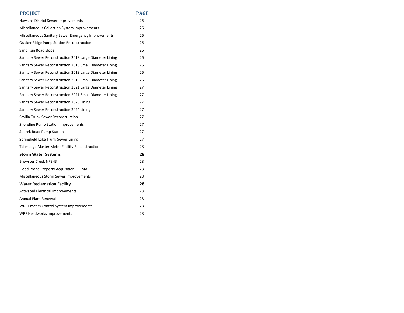| <b>PROJECT</b>                                           | <b>PAGE</b> |
|----------------------------------------------------------|-------------|
| Hawkins District Sewer Improvements                      | 26          |
| Miscellaneous Collection System Improvements             | 26          |
| Miscellaneous Sanitary Sewer Emergency Improvements      | 26          |
| Quaker Ridge Pump Station Reconstruction                 | 26          |
| Sand Run Road Slope                                      | 26          |
| Sanitary Sewer Reconstruction 2018 Large Diameter Lining | 26          |
| Sanitary Sewer Reconstruction 2018 Small Diameter Lining | 26          |
| Sanitary Sewer Reconstruction 2019 Large Diameter Lining | 26          |
| Sanitary Sewer Reconstruction 2019 Small Diameter Lining | 26          |
| Sanitary Sewer Reconstruction 2021 Large Diameter Lining | 27          |
| Sanitary Sewer Reconstruction 2021 Small Diameter Lining | 27          |
| Sanitary Sewer Reconstruction 2023 Lining                | 27          |
| Sanitary Sewer Reconstruction 2024 Lining                | 27          |
| Sevilla Trunk Sewer Reconstruction                       | 27          |
| Shoreline Pump Station Improvements                      | 27          |
| Sourek Road Pump Station                                 | 27          |
| Springfield Lake Trunk Sewer Lining                      | 27          |
| Tallmadge Master Meter Facility Reconstruction           | 28          |
| <b>Storm Water Systems</b>                               | 28          |
| <b>Brewster Creek NPS-IS</b>                             | 28          |
| Flood Prone Property Acquisition - FEMA                  | 28          |
| Miscellaneous Storm Sewer Improvements                   | 28          |
| <b>Water Reclamation Facility</b>                        | 28          |
| <b>Activated Electrical Improvements</b>                 | 28          |
| <b>Annual Plant Renewal</b>                              | 28          |
| <b>WRF Process Control System Improvements</b>           | 28          |
| WRF Headworks Improvements                               | 28          |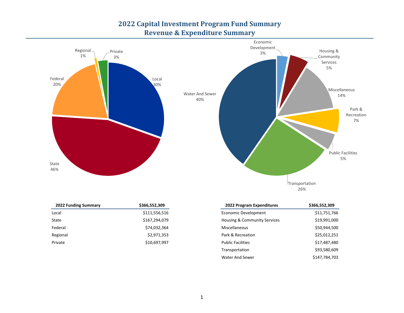## **2022 Capital Investment Program Fund Summary Revenue & Expenditure Summary**



| <b>2022 Funding Summary</b> | \$366,552,309 | 2022 Program Expenditures    | \$366,552,309 |
|-----------------------------|---------------|------------------------------|---------------|
| Local                       | \$111,556,516 | Economic Development         | \$11,751,766  |
| State                       | \$167,294,079 | Housing & Community Services | \$19,991,000  |
| Federal                     | \$74,032,364  | Miscellaneous                | \$50,944,500  |
| Regional                    | \$2,971,353   | Park & Recreation            | \$25,012,251  |
| Private                     | \$10,697,997  | <b>Public Facilities</b>     | \$17,487,480  |

| 2022 Program Expenditures    | \$366,552,309 |
|------------------------------|---------------|
| Economic Development         | \$11,751,766  |
| Housing & Community Services | \$19,991,000  |
| Miscellaneous                | \$50,944,500  |
| Park & Recreation            | \$25,012,251  |
| <b>Public Facilities</b>     | \$17,487,480  |
| Transportation               | \$93,580,609  |
| <b>Water And Sewer</b>       | \$147,784,703 |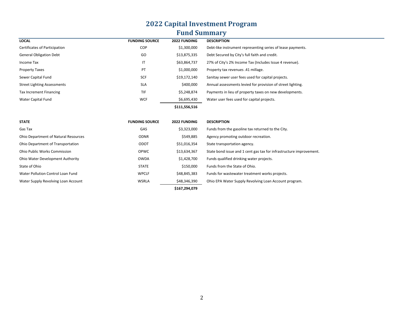# **2022 Capital Investment Program Fund Summary**

| <b>LOCAL</b>                                | <b>FUNDING SOURCE</b> | <b>2022 FUNDING</b> | <b>DESCRIPTION</b>                                                  |
|---------------------------------------------|-----------------------|---------------------|---------------------------------------------------------------------|
| Certificates of Participation               | COP                   | \$1,300,000         | Debt-like instrument representing series of lease payments.         |
| <b>General Obligation Debt</b>              | GO                    | \$13,875,335        | Debt Secured by City's full faith and credit.                       |
| Income Tax                                  | IT                    | \$63,864,737        | 27% of City's 2% Income Tax (Includes Issue 4 revenue).             |
| <b>Property Taxes</b>                       | PT                    | \$1,000,000         | Property tax revenues .41 millage.                                  |
| Sewer Capital Fund                          | SCF                   | \$19,172,140        | Sanitay sewer user fees used for capital projects.                  |
| <b>Street Lighting Assessments</b>          | <b>SLA</b>            | \$400,000           | Annual assessments levied for provision of street lighting.         |
| <b>Tax Increment Financing</b>              | <b>TIF</b>            | \$5,248,874         | Payments in lieu of property taxes on new developments.             |
| Water Capital Fund                          | <b>WCF</b>            | \$6,695,430         | Water user fees used for capital projects.                          |
|                                             |                       | \$111,556,516       |                                                                     |
|                                             |                       |                     |                                                                     |
| <b>STATE</b>                                | <b>FUNDING SOURCE</b> | 2022 FUNDING        | <b>DESCRIPTION</b>                                                  |
| Gas Tax                                     | <b>GAS</b>            | \$3,323,000         | Funds from the gasoline tax returned to the City.                   |
| <b>Ohio Department of Natural Resources</b> | <b>ODNR</b>           | \$549,885           | Agency promoting outdoor recreation.                                |
| Ohio Department of Transportation           | ODOT                  | \$51,016,354        | State transportation agency.                                        |
| <b>Ohio Public Works Commission</b>         | OPWC                  | \$13,634,367        | State bond issue and 1 cent gas tax for infrastructure improvement. |
| Ohio Water Development Authority            | <b>OWDA</b>           | \$1,428,700         | Funds qualified drinking water projects.                            |
| State of Ohio                               | <b>STATE</b>          | \$150,000           | Funds from the State of Ohio.                                       |
| Water Pollution Control Loan Fund           | <b>WPCLF</b>          | \$48,845,383        | Funds for wastewater treatment works projects.                      |
| Water Supply Revolving Loan Account         | <b>WSRLA</b>          | \$48,346,390        | Ohio EPA Water Supply Revolving Loan Account program.               |
|                                             |                       | \$167,294,079       |                                                                     |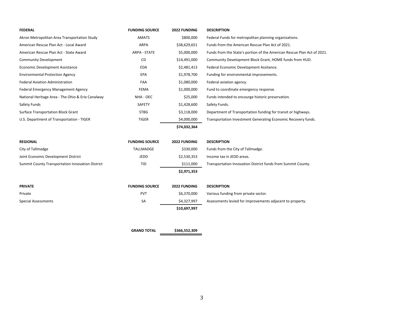| <b>FEDERAL</b>                                    | <b>FUNDING SOURCE</b> | 2022 FUNDING | <b>DESCRIPTION</b>                                                      |
|---------------------------------------------------|-----------------------|--------------|-------------------------------------------------------------------------|
| Akron Metropolitan Area Transportation Study      | <b>AMATS</b>          | \$800,000    | Federal Funds for metropolitan planning organizations.                  |
| American Rescue Plan Act - Local Award            | ARPA                  | \$38,629,651 | Funds from the American Rescue Plan Act of 2021.                        |
| American Rescue Plan Act - State Award            | ARPA - STATE          | \$5,000,000  | Funds from the State's portion of the American Rescue Plan Act of 2021. |
| <b>Community Development</b>                      | CD                    | \$14,491,000 | Community Development Block Grant, HOME funds from HUD.                 |
| <b>Economic Development Assistance</b>            | <b>EDA</b>            | \$2,481,413  | Federal Economic Development Assitance.                                 |
| <b>Environmental Protection Agency</b>            | EPA                   | \$1,978,700  | Funding for environmental improvements.                                 |
| <b>Federal Aviation Administration</b>            | FAA                   | \$1,080,000  | Federal aviation agency.                                                |
| Federal Emergency Management Agency               | <b>FEMA</b>           | \$1,000,000  | Fund to coordinate emergency response.                                  |
| National Heritage Area - The Ohio & Erie Canalway | NHA - OEC             | \$25,000     | Funds intended to encourge historic preservation.                       |
| Safety Funds                                      | SAFETY                | \$1,428,600  | Safety Funds.                                                           |
| <b>Surface Transportation Block Grant</b>         | <b>STBG</b>           | \$3,118,000  | Department of Transportation funding for transit or highways.           |
| U.S. Department of Transportation - TIGER         | <b>TIGER</b>          | \$4,000,000  | Transportation Investment Generating Economic Recovery funds.           |
|                                                   |                       | \$74,032,364 |                                                                         |
|                                                   |                       |              |                                                                         |
| <b>REGIONAL</b>                                   | <b>FUNDING SOURCE</b> | 2022 FUNDING | <b>DESCRIPTION</b>                                                      |
| City of Tallmadge                                 | TALLMADGE             | \$330,000    | Funds from the City of Tallmadge.                                       |
| Joint Economic Development District               | <b>JEDD</b>           | \$2,530,353  | Income tax in JEDD areas.                                               |
| Summit County Transportation Innovation District  | <b>TID</b>            | \$111,000    | Transportation Innovation District funds from Summit County.            |
|                                                   |                       | \$2,971,353  |                                                                         |
|                                                   |                       |              |                                                                         |
| <b>PRIVATE</b>                                    | <b>FUNDING SOURCE</b> | 2022 FUNDING | <b>DESCRIPTION</b>                                                      |
| Private                                           | PVT                   | \$6,370,000  | Various funding from private sector.                                    |
|                                                   |                       |              |                                                                         |
| <b>Special Assessments</b>                        | <b>SA</b>             | \$4,327,997  | Assessments levied for improvements adjacent to property.               |
|                                                   |                       | \$10,697,997 |                                                                         |

**GRAND TOTAL \$366,552,309**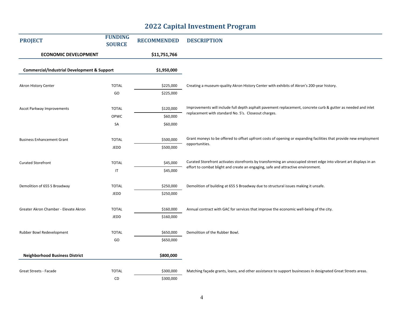### **2022 Capital Investment Program**

| <b>PROJECT</b>                                         | <b>FUNDING</b><br><b>SOURCE</b> | <b>RECOMMENDED</b> | <b>DESCRIPTION</b>                                                                                                 |
|--------------------------------------------------------|---------------------------------|--------------------|--------------------------------------------------------------------------------------------------------------------|
| <b>ECONOMIC DEVELOPMENT</b>                            |                                 | \$11,751,766       |                                                                                                                    |
| <b>Commercial/Industrial Development &amp; Support</b> |                                 | \$1,950,000        |                                                                                                                    |
|                                                        |                                 |                    |                                                                                                                    |
| Akron History Center                                   | <b>TOTAL</b>                    | \$225,000          | Creating a museum-quality Akron History Center with exhibits of Akron's 200-year history.                          |
|                                                        | GO                              | \$225,000          |                                                                                                                    |
| Ascot Parkway Improvements                             | <b>TOTAL</b>                    | \$120,000          | Improvements will include full depth asphalt pavement replacement, concrete curb & gutter as needed and inlet      |
|                                                        | OPWC                            | \$60,000           | replacement with standard No. 5's. Closeout charges.                                                               |
|                                                        | SA                              | \$60,000           |                                                                                                                    |
| <b>Business Enhancement Grant</b>                      | <b>TOTAL</b>                    | \$500,000          | Grant moneys to be offered to offset upfront costs of opening or expanding facilities that provide new employment  |
|                                                        | JEDD                            | \$500,000          | opportunities.                                                                                                     |
| <b>Curated Storefront</b>                              | <b>TOTAL</b>                    | \$45,000           | Curated Storefront activates storefronts by transforming an unoccupied street edge into vibrant art displays in an |
|                                                        | $\mathsf{I}\mathsf{T}$          | \$45,000           | effort to combat blight and create an engaging, safe and attractive environment.                                   |
| Demolition of 655 S Broadway                           | <b>TOTAL</b>                    | \$250,000          | Demolition of building at 655 S Broadway due to structural issues making it unsafe.                                |
|                                                        | JEDD                            | \$250,000          |                                                                                                                    |
| Greater Akron Chamber - Elevate Akron                  | <b>TOTAL</b>                    | \$160,000          | Annual contract with GAC for services that improve the economic well-being of the city.                            |
|                                                        | JEDD                            | \$160,000          |                                                                                                                    |
| Rubber Bowl Redevelopment                              | <b>TOTAL</b>                    | \$650,000          | Demolition of the Rubber Bowl.                                                                                     |
|                                                        | GO                              | \$650,000          |                                                                                                                    |
| <b>Neighborhood Business District</b>                  |                                 | \$800,000          |                                                                                                                    |
| Great Streets - Facade                                 | <b>TOTAL</b>                    | \$300,000          | Matching façade grants, loans, and other assistance to support businesses in designated Great Streets areas.       |
|                                                        | CD                              | \$300,000          |                                                                                                                    |
|                                                        |                                 |                    |                                                                                                                    |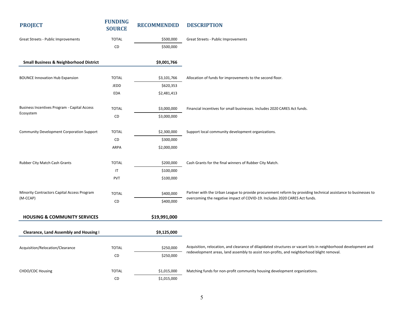| <b>PROJECT</b>                                          | <b>FUNDING</b><br><b>SOURCE</b> | <b>RECOMMENDED</b> | <b>DESCRIPTION</b>                                                                                                                                                                           |  |
|---------------------------------------------------------|---------------------------------|--------------------|----------------------------------------------------------------------------------------------------------------------------------------------------------------------------------------------|--|
| Great Streets - Public Improvements                     | <b>TOTAL</b>                    | \$500,000          | Great Streets - Public Improvements                                                                                                                                                          |  |
|                                                         | CD                              | \$500,000          |                                                                                                                                                                                              |  |
| <b>Small Business &amp; Neighborhood District</b>       |                                 | \$9,001,766        |                                                                                                                                                                                              |  |
| <b>BOUNCE Innovation Hub Expansion</b>                  | <b>TOTAL</b>                    | \$3,101,766        | Allocation of funds for improvements to the second floor.                                                                                                                                    |  |
|                                                         | JEDD                            | \$620,353          |                                                                                                                                                                                              |  |
|                                                         | <b>EDA</b>                      | \$2,481,413        |                                                                                                                                                                                              |  |
| Business Incentives Program - Capital Access            | <b>TOTAL</b>                    | \$3,000,000        | Financial incentives for small businesses. Includes 2020 CARES Act funds.                                                                                                                    |  |
| Ecosystem                                               | CD                              | \$3,000,000        |                                                                                                                                                                                              |  |
| <b>Community Development Corporation Support</b>        | <b>TOTAL</b>                    | \$2,300,000        | Support local community development organizations.                                                                                                                                           |  |
|                                                         | CD                              | \$300,000          |                                                                                                                                                                                              |  |
|                                                         | <b>ARPA</b>                     | \$2,000,000        |                                                                                                                                                                                              |  |
| Rubber City Match Cash Grants                           | <b>TOTAL</b>                    | \$200,000          | Cash Grants for the final winners of Rubber City Match.                                                                                                                                      |  |
|                                                         | $\sf IT$                        | \$100,000          |                                                                                                                                                                                              |  |
|                                                         | PVT                             | \$100,000          |                                                                                                                                                                                              |  |
| Minority Contractors Capital Access Program<br>(M-CCAP) | <b>TOTAL</b>                    | \$400,000          | Partner with the Urban League to provide procurement reform by providing technical assistance to businesses to<br>overcoming the negative impact of COVID-19. Includes 2020 CARES Act funds. |  |
|                                                         | CD                              | \$400,000          |                                                                                                                                                                                              |  |
| <b>HOUSING &amp; COMMUNITY SERVICES</b>                 |                                 | \$19,991,000       |                                                                                                                                                                                              |  |
| Clearance, Land Assembly and Housing I                  |                                 | \$9,125,000        |                                                                                                                                                                                              |  |
| Acquisition/Relocation/Clearance                        | <b>TOTAL</b>                    | \$250,000          | Acquisition, relocation, and clearance of dilapidated structures or vacant lots in neighborhood development and                                                                              |  |
|                                                         | ${\sf CD}$                      | \$250,000          | redevelopment areas, land assembly to assist non-profits, and neighborhood blight removal.                                                                                                   |  |
| CHDO/CDC Housing                                        | <b>TOTAL</b>                    | \$1,015,000        | Matching funds for non-profit community housing development organizations.                                                                                                                   |  |
|                                                         | CD                              | \$1,015,000        |                                                                                                                                                                                              |  |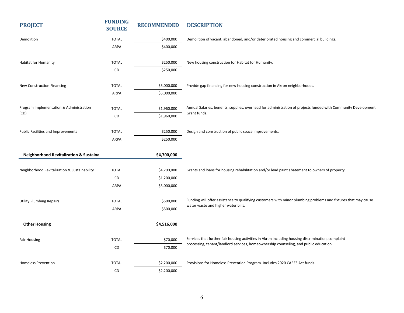| <b>PROJECT</b>                                    | <b>FUNDING</b><br><b>SOURCE</b> | <b>RECOMMENDED</b>         | <b>DESCRIPTION</b>                                                                                                                                                                          |
|---------------------------------------------------|---------------------------------|----------------------------|---------------------------------------------------------------------------------------------------------------------------------------------------------------------------------------------|
| Demolition                                        | <b>TOTAL</b>                    | \$400,000                  | Demolition of vacant, abandoned, and/or deteriorated housing and commercial buildings.                                                                                                      |
|                                                   | ARPA                            | \$400,000                  |                                                                                                                                                                                             |
| Habitat for Humanity                              | <b>TOTAL</b>                    | \$250,000                  | New housing construction for Habitat for Humanity.                                                                                                                                          |
|                                                   | CD                              | \$250,000                  |                                                                                                                                                                                             |
|                                                   | <b>TOTAL</b>                    |                            |                                                                                                                                                                                             |
| New Construction Financing                        | ARPA                            | \$5,000,000<br>\$5,000,000 | Provide gap financing for new housing construction in Akron neighborhoods.                                                                                                                  |
|                                                   |                                 |                            |                                                                                                                                                                                             |
| Program Implementation & Administration<br>(CD)   | <b>TOTAL</b>                    | \$1,960,000                | Annual Salaries, benefits, supplies, overhead for administration of projects funded with Community Development<br>Grant funds.                                                              |
|                                                   | CD                              | \$1,960,000                |                                                                                                                                                                                             |
| Public Facilities and Improvements                | <b>TOTAL</b>                    | \$250,000                  | Design and construction of public space improvements.                                                                                                                                       |
|                                                   | ARPA                            | \$250,000                  |                                                                                                                                                                                             |
| <b>Neighborhood Revitalization &amp; Sustaina</b> |                                 | \$4,700,000                |                                                                                                                                                                                             |
| Neighborhood Revitalization & Sustainability      | <b>TOTAL</b>                    | \$4,200,000                | Grants and loans for housing rehabilitation and/or lead paint abatement to owners of property.                                                                                              |
|                                                   | CD                              | \$1,200,000                |                                                                                                                                                                                             |
|                                                   | <b>ARPA</b>                     | \$3,000,000                |                                                                                                                                                                                             |
| <b>Utility Plumbing Repairs</b>                   | <b>TOTAL</b>                    | \$500,000                  | Funding will offer assistance to qualifying customers with minor plumbing problems and fixtures that may cause                                                                              |
|                                                   | ARPA                            | \$500,000                  | water waste and higher water bills.                                                                                                                                                         |
| <b>Other Housing</b>                              |                                 | \$4,516,000                |                                                                                                                                                                                             |
|                                                   |                                 |                            |                                                                                                                                                                                             |
| <b>Fair Housing</b>                               | <b>TOTAL</b>                    | \$70,000                   | Services that further fair housing activities in Akron including housing discrimination, complaint<br>processing, tenant/landlord services, homeownership counseling, and public education. |
|                                                   | CD                              | \$70,000                   |                                                                                                                                                                                             |
| <b>Homeless Prevention</b>                        | <b>TOTAL</b>                    | \$2,200,000                | Provisions for Homeless Prevention Program. Includes 2020 CARES Act funds.                                                                                                                  |
|                                                   | CD                              | \$2,200,000                |                                                                                                                                                                                             |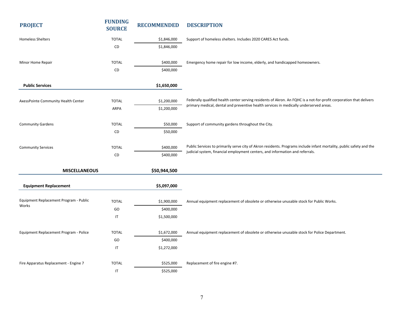| <b>PROJECT</b>                                  | <b>FUNDING</b><br><b>SOURCE</b> | <b>RECOMMENDED</b> | <b>DESCRIPTION</b>                                                                                                                                                                                    |
|-------------------------------------------------|---------------------------------|--------------------|-------------------------------------------------------------------------------------------------------------------------------------------------------------------------------------------------------|
| <b>Homeless Shelters</b>                        | <b>TOTAL</b>                    | \$1,846,000        | Support of homeless shelters. Includes 2020 CARES Act funds.                                                                                                                                          |
|                                                 | CD                              | \$1,846,000        |                                                                                                                                                                                                       |
|                                                 |                                 |                    |                                                                                                                                                                                                       |
| Minor Home Repair                               | <b>TOTAL</b>                    | \$400,000          | Emergency home repair for low income, elderly, and handicapped homeowners.                                                                                                                            |
|                                                 | CD                              | \$400,000          |                                                                                                                                                                                                       |
| <b>Public Services</b>                          |                                 | \$1,650,000        |                                                                                                                                                                                                       |
|                                                 |                                 |                    | Federally qualified health center serving residents of Akron. An FQHC is a not-for-profit corporation that delivers                                                                                   |
| AxessPointe Community Health Center             | <b>TOTAL</b>                    | \$1,200,000        | primary medical, dental and preventive health services in medically underserved areas.                                                                                                                |
|                                                 | ARPA                            | \$1,200,000        |                                                                                                                                                                                                       |
| <b>Community Gardens</b>                        | <b>TOTAL</b>                    | \$50,000           | Support of community gardens throughout the City.                                                                                                                                                     |
|                                                 | CD                              | \$50,000           |                                                                                                                                                                                                       |
|                                                 |                                 |                    |                                                                                                                                                                                                       |
| <b>Community Services</b>                       | <b>TOTAL</b>                    | \$400,000          | Public Services to primarily serve city of Akron residents. Programs include infant mortality, public safety and the<br>judicial system, financial employment centers, and information and referrals. |
|                                                 | CD                              | \$400,000          |                                                                                                                                                                                                       |
| <b>MISCELLANEOUS</b>                            |                                 | \$50,944,500       |                                                                                                                                                                                                       |
| <b>Equipment Replacement</b>                    |                                 | \$5,097,000        |                                                                                                                                                                                                       |
|                                                 |                                 |                    |                                                                                                                                                                                                       |
| Equipment Replacement Program - Public<br>Works | <b>TOTAL</b>                    | \$1,900,000        | Annual equipment replacement of obsolete or otherwise unusable stock for Public Works.                                                                                                                |
|                                                 | GO                              | \$400,000          |                                                                                                                                                                                                       |
|                                                 | $\sf IT$                        | \$1,500,000        |                                                                                                                                                                                                       |
| Equipment Replacement Program - Police          | <b>TOTAL</b>                    | \$1,672,000        | Annual equipment replacement of obsolete or otherwise unusable stock for Police Department.                                                                                                           |
|                                                 | GO                              | \$400,000          |                                                                                                                                                                                                       |
|                                                 | $\sf IT$                        | \$1,272,000        |                                                                                                                                                                                                       |
|                                                 |                                 |                    |                                                                                                                                                                                                       |
| Fire Apparatus Replacement - Engine 7           | <b>TOTAL</b>                    | \$525,000          | Replacement of fire engine #7.                                                                                                                                                                        |
|                                                 | $\mathsf{I}\mathsf{T}$          | \$525,000          |                                                                                                                                                                                                       |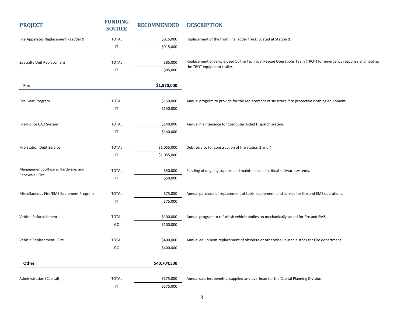| <b>PROJECT</b>                                        | <b>FUNDING</b><br><b>SOURCE</b> | <b>RECOMMENDED</b> | <b>DESCRIPTION</b>                                                                                            |
|-------------------------------------------------------|---------------------------------|--------------------|---------------------------------------------------------------------------------------------------------------|
| Fire Apparatus Replacement - Ladder 9                 | <b>TOTAL</b>                    | \$915,000          | Replacement of the front line ladder truck located at Station 9.                                              |
|                                                       | IT                              | \$915,000          |                                                                                                               |
| Specialty Unit Replacement                            | <b>TOTAL</b>                    | \$85,000           | Replacement of vehicle used by the Technical Rescue Operations Team (TROT) for emergency response and hauling |
|                                                       | $\sf IT$                        | \$85,000           | the TROT equipment trailer.                                                                                   |
| Fire                                                  |                                 | \$1,970,000        |                                                                                                               |
| Fire Gear Program                                     | <b>TOTAL</b>                    | \$150,000          | Annual program to provide for the replacement of structural fire protective clothing equipment.               |
|                                                       | IT                              | \$150,000          |                                                                                                               |
| Fire/Police CAD System                                | <b>TOTAL</b>                    | \$140,000          | Annual maintenance for Computer Aided Dispatch system.                                                        |
|                                                       | IT                              | \$140,000          |                                                                                                               |
| Fire Station Debt Service                             | <b>TOTAL</b>                    | \$1,055,000        | Debt service for construction of fire station 2 and 4.                                                        |
|                                                       | IT                              | \$1,055,000        |                                                                                                               |
| Management Software, Hardware, and<br>Renewals - Fire | <b>TOTAL</b>                    | \$50,000           | Funding of ongoing support and maintenance of critical software systems.                                      |
|                                                       | $\sf IT$                        | \$50,000           |                                                                                                               |
| Miscellaneous Fire/EMS Equipment Program              | <b>TOTAL</b>                    | \$75,000           | Annual purchase of replacement of tools, equipment, and service for fire and EMS operations.                  |
|                                                       | IT                              | \$75,000           |                                                                                                               |
| Vehicle Refurbishment                                 | <b>TOTAL</b>                    | \$100,000          | Annual program to refurbish vehicle bodies on mechanically sound for fire and EMS.                            |
|                                                       | GO                              | \$100,000          |                                                                                                               |
| Vehicle Replacement - Fire                            | <b>TOTAL</b>                    | \$400,000          | Annual equipment replacement of obsolete or otherwise unusable stock for Fire department.                     |
|                                                       | GO                              | \$400,000          |                                                                                                               |
| Other                                                 |                                 | \$40,704,500       |                                                                                                               |
| Administration (Capital)                              | <b>TOTAL</b>                    | \$575,000          | Annual salaries, benefits, supplied and overhead for the Capital Planning Division.                           |
|                                                       | IT                              | \$575,000          |                                                                                                               |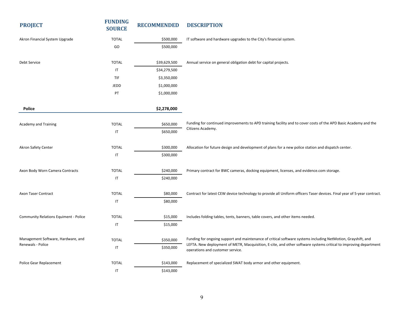| <b>PROJECT</b>                               | <b>FUNDING</b><br><b>SOURCE</b> | <b>RECOMMENDED</b> | <b>DESCRIPTION</b>                                                                                                                                   |
|----------------------------------------------|---------------------------------|--------------------|------------------------------------------------------------------------------------------------------------------------------------------------------|
| Akron Financial System Upgrade               | <b>TOTAL</b>                    | \$500,000          | IT software and hardware upgrades to the City's financial system.                                                                                    |
|                                              | GO                              | \$500,000          |                                                                                                                                                      |
| Debt Service                                 | <b>TOTAL</b>                    | \$39,629,500       | Annual service on general obligation debt for capital projects.                                                                                      |
|                                              | IT                              | \$34,279,500       |                                                                                                                                                      |
|                                              | <b>TIF</b>                      | \$3,350,000        |                                                                                                                                                      |
|                                              | JEDD                            | \$1,000,000        |                                                                                                                                                      |
|                                              | PT                              | \$1,000,000        |                                                                                                                                                      |
| <b>Police</b>                                |                                 | \$2,278,000        |                                                                                                                                                      |
| Academy and Training                         | <b>TOTAL</b>                    | \$650,000          | Funding for continued improvements to APD training facility and to cover costs of the APD Basic Academy and the                                      |
|                                              | IT                              | \$650,000          | Citizens Academy.                                                                                                                                    |
| Akron Safety Center                          | <b>TOTAL</b>                    | \$300,000          | Allocation for future design and development of plans for a new police station and dispatch center.                                                  |
|                                              | IT                              | \$300,000          |                                                                                                                                                      |
| Axon Body Worn Camera Contracts              | <b>TOTAL</b>                    | \$240,000          | Primary contract for BWC cameras, docking equipment, licenses, and evidence.com storage.                                                             |
|                                              | $\sf IT$                        | \$240,000          |                                                                                                                                                      |
| Axon Taser Contract                          | <b>TOTAL</b>                    | \$80,000           | Contract for latest CEW device technology to provide all Uniform officers Taser devices. Final year of 5-year contract.                              |
|                                              | $\mathsf{I}\mathsf{T}$          | \$80,000           |                                                                                                                                                      |
| <b>Community Relations Equiment - Police</b> | <b>TOTAL</b>                    | \$15,000           | Includes folding tables, tents, banners, table covers, and other items needed.                                                                       |
|                                              | $\sf IT$                        | \$15,000           |                                                                                                                                                      |
| Management Software, Hardware, and           | <b>TOTAL</b>                    | \$350,000          | Funding for ongoing support and maintenance of critical software systems including NetMotion, Grayshift, and                                         |
| Renewals - Police                            | IT                              | \$350,000          | LEFTA. New deployment of METR, Macquisition, E-cite, and other software systems critical to improving department<br>operations and customer service. |
| <b>Police Gear Replacement</b>               | <b>TOTAL</b>                    | \$143,000          | Replacement of specialized SWAT body armor and other equipment.                                                                                      |
|                                              | IT                              | \$143,000          |                                                                                                                                                      |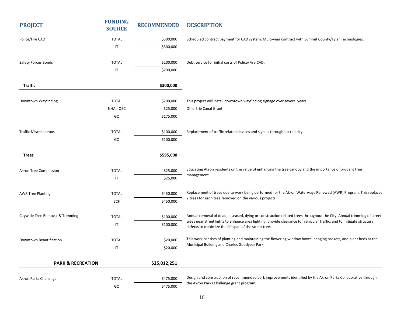| <b>PROJECT</b>                   | <b>FUNDING</b><br><b>SOURCE</b> | <b>RECOMMENDED</b> | <b>DESCRIPTION</b>                                                                                                                                                             |
|----------------------------------|---------------------------------|--------------------|--------------------------------------------------------------------------------------------------------------------------------------------------------------------------------|
| Police/Fire CAD                  | <b>TOTAL</b>                    | \$300,000          | Scheduled contract payment for CAD system. Multi-year contract with Summit County/Tyler Technologies.                                                                          |
|                                  | IT                              | \$300,000          |                                                                                                                                                                                |
| Safety Forces Bonds              | <b>TOTAL</b>                    | \$200,000          | Debt service for initial costs of Police/Fire CAD.                                                                                                                             |
|                                  | IT                              | \$200,000          |                                                                                                                                                                                |
| <b>Traffic</b>                   |                                 | \$300,000          |                                                                                                                                                                                |
| Downtown Wayfinding              | <b>TOTAL</b>                    | \$200,000          | This project will install downtown wayfinding signage over several years.                                                                                                      |
|                                  | NHA - OEC                       | \$25,000           | Ohio Erie Canal Grant                                                                                                                                                          |
|                                  | GO                              | \$175,000          |                                                                                                                                                                                |
| <b>Traffic Miscellaneous</b>     | <b>TOTAL</b>                    | \$100,000          | Replacement of traffic related devices and signals throughout the city.                                                                                                        |
|                                  | GO                              | \$100,000          |                                                                                                                                                                                |
| <b>Trees</b>                     |                                 | \$595,000          |                                                                                                                                                                                |
| <b>Akron Tree Commission</b>     | <b>TOTAL</b>                    | \$25,000           | Educating Akron residents on the value of enhancing the tree canopy and the importance of prudent tree                                                                         |
|                                  | IT                              | \$25,000           | management.                                                                                                                                                                    |
| <b>AWR Tree Planting</b>         | <b>TOTAL</b>                    | \$450,000          | Replacement of trees due to work being performed for the Akron Waterways Renewed (AWR) Program. This replaces                                                                  |
|                                  | SCF                             | \$450,000          | 2 trees for each tree removed on the various projects.                                                                                                                         |
| Citywide Tree Removal & Trimming | <b>TOTAL</b>                    | \$100,000          | Annual removal of dead, diseased, dying or construction related trees throughout the City. Annual trimming of street                                                           |
|                                  | $\sf IT$                        | \$100,000          | trees near street lights to enhance area lighting, provide clearance for vehicular traffic, and to mitigate structural<br>defects to maximize the lifespan of the street trees |
| Downtown Beautification          | <b>TOTAL</b>                    | \$20,000           | This work consists of planting and maintaining the flowering window boxes, hanging baskets, and plant beds at the                                                              |
|                                  | IT                              | \$20,000           | Municipal Building and Charles Goodyear Park.                                                                                                                                  |
| <b>PARK &amp; RECREATION</b>     |                                 | \$25,012,251       |                                                                                                                                                                                |
| Akron Parks Challenge            | <b>TOTAL</b>                    | \$475,000          | Design and construction of recommended park improvements identified by the Akron Parks Collaborative through                                                                   |
|                                  | GO                              | \$475,000          | the Akron Parks Challenge grant program.                                                                                                                                       |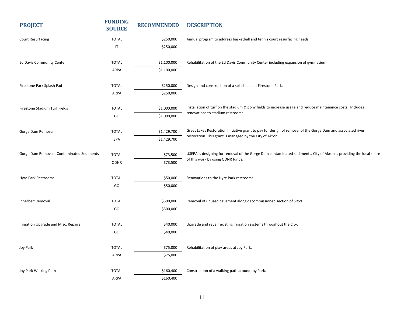| <b>PROJECT</b>                             | <b>FUNDING</b><br><b>SOURCE</b> | <b>RECOMMENDED</b> | <b>DESCRIPTION</b>                                                                                                 |
|--------------------------------------------|---------------------------------|--------------------|--------------------------------------------------------------------------------------------------------------------|
| <b>Court Resurfacing</b>                   | <b>TOTAL</b>                    | \$250,000          | Annual program to address basketball and tennis court resurfacing needs.                                           |
|                                            | $\sf IT$                        | \$250,000          |                                                                                                                    |
| Ed Davis Community Center                  | <b>TOTAL</b>                    | \$1,100,000        | Rehabilitation of the Ed Davis Community Center including expansion of gymnasium.                                  |
|                                            | ARPA                            | \$1,100,000        |                                                                                                                    |
| Firestone Park Splash Pad                  | <b>TOTAL</b>                    | \$250,000          | Design and construction of a splash pad at Firestone Park.                                                         |
|                                            | ARPA                            | \$250,000          |                                                                                                                    |
| Firestone Stadium Turf Fields              | <b>TOTAL</b>                    | \$1,000,000        | Installation of turf on the stadium & pony fields to increase usage and reduce maintenance costs. Includes         |
|                                            | GO                              | \$1,000,000        | renovations to stadium restrooms.                                                                                  |
| Gorge Dam Removal                          | <b>TOTAL</b>                    | \$1,429,700        | Great Lakes Restoration Initiative grant to pay for design of removal of the Gorge Dam and associated river        |
|                                            | EPA                             | \$1,429,700        | restoration. This grant is managed by the City of Akron.                                                           |
| Gorge Dam Removal - Contaminated Sediments | <b>TOTAL</b>                    | \$73,500           | USEPA is designing for removal of the Gorge Dam contaminated sediments. City of Akron is providing the local share |
|                                            | <b>ODNR</b>                     | \$73,500           | of this work by using ODNR funds.                                                                                  |
| Hyre Park Restrooms                        | <b>TOTAL</b>                    | \$50,000           | Renovations to the Hyre Park restrooms.                                                                            |
|                                            | GO                              | \$50,000           |                                                                                                                    |
| Innerbelt Removal                          | <b>TOTAL</b>                    | \$500,000          | Removal of unused pavement along decommissioned section of SR59.                                                   |
|                                            | GO                              | \$500,000          |                                                                                                                    |
| Irrigation Upgrade and Misc. Repairs       | <b>TOTAL</b>                    | \$40,000           | Upgrade and repair existing irrigation systems throughout the City.                                                |
|                                            | GO                              | \$40,000           |                                                                                                                    |
| Joy Park                                   | <b>TOTAL</b>                    | \$75,000           | Rehabilitation of play areas at Joy Park.                                                                          |
|                                            | ARPA                            | \$75,000           |                                                                                                                    |
| Joy Park Walking Path                      | <b>TOTAL</b>                    | \$160,400          | Construction of a walking path around Joy Park.                                                                    |
|                                            | ARPA                            | \$160,400          |                                                                                                                    |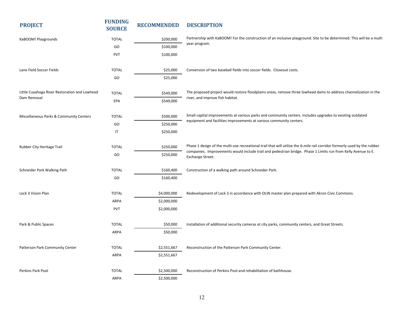| <b>PROJECT</b>                                | <b>FUNDING</b><br><b>SOURCE</b> | <b>RECOMMENDED</b> | <b>DESCRIPTION</b>                                                                                                                |
|-----------------------------------------------|---------------------------------|--------------------|-----------------------------------------------------------------------------------------------------------------------------------|
| KaBOOM! Playgrounds                           | <b>TOTAL</b>                    | \$200,000          | Partnership with KaBOOM! For the construction of an inclusive playground. Site to be determined. This will be a multi             |
|                                               | GO                              | \$100,000          | year program.                                                                                                                     |
|                                               | PVT                             | \$100,000          |                                                                                                                                   |
| Lane Field Soccer Fields                      | <b>TOTAL</b>                    | \$25,000           | Conversion of two baseball fields into soccer fields. Closeout costs.                                                             |
|                                               | GO                              | \$25,000           |                                                                                                                                   |
| Little Cuyahoga River Restoration and Lowhead | <b>TOTAL</b>                    | \$549,000          | The proposed project would restore floodplains areas, remove three lowhead dams to address channelization in the                  |
| Dam Removal                                   | EPA                             | \$549,000          | river, and improve fish habitat.                                                                                                  |
| Miscellaneous Parks & Community Centers       | <b>TOTAL</b>                    | \$500,000          | Small capital improvements at various parks and community centers. Includes upgrades to existing outdated                         |
|                                               | GO                              | \$250,000          | equipment and facilities improvements at various community centers.                                                               |
|                                               | $\sf IT$                        | \$250,000          |                                                                                                                                   |
| Rubber City Heritage Trail                    | <b>TOTAL</b>                    | \$250,000          | Phase 1 design of the multi-use recreational trail that will utilize the 6-mile rail corridor formerly used by the rubber         |
|                                               | GO                              | \$250,000          | companies. Improvements would include trail and pedestrian bridge. Phase 1 Limits run from Kelly Avenue to E.<br>Exchange Street. |
| Schneider Park Walking Path                   | <b>TOTAL</b>                    | \$160,400          | Construction of a walking path around Schneider Park.                                                                             |
|                                               | GO                              | \$160,400          |                                                                                                                                   |
| Lock 3 Vision Plan                            | <b>TOTAL</b>                    | \$4,000,000        | Redevelopment of Lock 3 in accordance with OLIN master plan prepared with Akron Civic Commons.                                    |
|                                               | ARPA                            | \$2,000,000        |                                                                                                                                   |
|                                               | PVT                             | \$2,000,000        |                                                                                                                                   |
| Park & Public Spaces                          | <b>TOTAL</b>                    | \$50,000           | Installation of additional security cameras at city parks, community centers, and Great Streets.                                  |
|                                               | ARPA                            | \$50,000           |                                                                                                                                   |
| Patterson Park Community Center               | <b>TOTAL</b>                    | \$2,551,667        | Reconstruction of the Patterson Park Community Center.                                                                            |
|                                               | ARPA                            | \$2,551,667        |                                                                                                                                   |
| Perkins Park Pool                             | <b>TOTAL</b>                    | \$2,500,000        | Reconstruction of Perkins Pool and rehabilitation of bathhouse.                                                                   |
|                                               | ARPA                            | \$2,500,000        |                                                                                                                                   |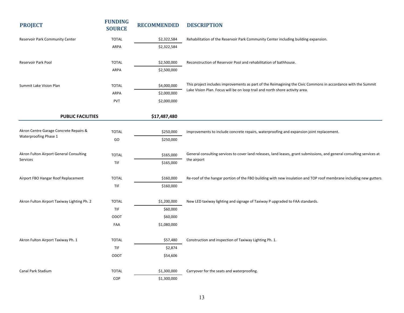| <b>PROJECT</b>                                                  | <b>FUNDING</b><br><b>SOURCE</b> | <b>RECOMMENDED</b> | <b>DESCRIPTION</b>                                                                                                     |
|-----------------------------------------------------------------|---------------------------------|--------------------|------------------------------------------------------------------------------------------------------------------------|
| Reservoir Park Community Center                                 | <b>TOTAL</b>                    | \$2,322,584        | Rehabilitation of the Reservoir Park Community Center including building expansion.                                    |
|                                                                 | ARPA                            | \$2,322,584        |                                                                                                                        |
|                                                                 |                                 |                    |                                                                                                                        |
| <b>Reservoir Park Pool</b>                                      | <b>TOTAL</b>                    | \$2,500,000        | Reconstruction of Reservoir Pool and rehabilitation of bathhouse.                                                      |
|                                                                 | ARPA                            | \$2,500,000        |                                                                                                                        |
| Summit Lake Vision Plan                                         | <b>TOTAL</b>                    | \$4,000,000        | This project includes improvements as part of the Reimagining the Civic Commons in accordance with the Summit          |
|                                                                 | ARPA                            | \$2,000,000        | Lake Vision Plan. Focus will be on loop trail and north shore activity area.                                           |
|                                                                 | PVT                             | \$2,000,000        |                                                                                                                        |
| <b>PUBLIC FACILITIES</b>                                        |                                 | \$17,487,480       |                                                                                                                        |
|                                                                 |                                 |                    |                                                                                                                        |
| Akron Centre Garage Concrete Repairs &<br>Waterproofing Phase 1 | <b>TOTAL</b>                    | \$250,000          | Improvements to include concrete repairs, waterproofing and expansion joint replacement.                               |
|                                                                 | GO                              | \$250,000          |                                                                                                                        |
| Akron Fulton Airport General Consulting<br>Services             | <b>TOTAL</b>                    | \$165,000          | General consulting services to cover land releases, land leases, grant submissions, and general consulting services at |
|                                                                 | TIF                             | \$165,000          | the airport                                                                                                            |
|                                                                 |                                 |                    |                                                                                                                        |
| Airport FBO Hangar Roof Replacement                             | <b>TOTAL</b>                    | \$160,000          | Re-roof of the hangar portion of the FBO building with new insulation and TOP roof membrane including new gutters.     |
|                                                                 | TIF                             | \$160,000          |                                                                                                                        |
| Akron Fulton Airport Taxiway Lighting Ph. 2                     | <b>TOTAL</b>                    | \$1,200,000        | New LED taxiway lighting and signage of Taxiway P upgraded to FAA standards.                                           |
|                                                                 | TIF                             | \$60,000           |                                                                                                                        |
|                                                                 | ODOT                            | \$60,000           |                                                                                                                        |
|                                                                 | FAA                             | \$1,080,000        |                                                                                                                        |
| Akron Fulton Airport Taxiway Ph. 1                              | <b>TOTAL</b>                    | \$57,480           | Construction and inspection of Taxiway Lighting Ph. 1.                                                                 |
|                                                                 | TIF                             | \$2,874            |                                                                                                                        |
|                                                                 | ODOT                            | \$54,606           |                                                                                                                        |
|                                                                 |                                 |                    |                                                                                                                        |
| Canal Park Stadium                                              | <b>TOTAL</b>                    | \$1,300,000        | Carryover for the seats and waterproofing.                                                                             |
|                                                                 | COP                             | \$1,300,000        |                                                                                                                        |
|                                                                 |                                 |                    |                                                                                                                        |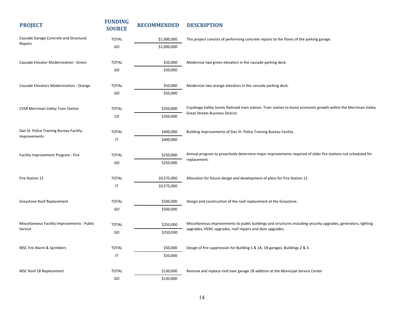| <b>PROJECT</b>                                          | <b>FUNDING</b><br><b>SOURCE</b> | <b>RECOMMENDED</b> | <b>DESCRIPTION</b>                                                                                               |
|---------------------------------------------------------|---------------------------------|--------------------|------------------------------------------------------------------------------------------------------------------|
| Cascade Garage Concrete and Structural<br>Repairs       | <b>TOTAL</b>                    | \$1,000,000        | This project consists of performing concrete repairs to the floors of the parking garage.                        |
|                                                         | GO                              | \$1,000,000        |                                                                                                                  |
|                                                         |                                 |                    |                                                                                                                  |
| Cascade Elevator Modernization - Green                  | <b>TOTAL</b>                    | \$50,000           | Modernize two green elevators in the cascade parking deck.                                                       |
|                                                         | GO                              | \$50,000           |                                                                                                                  |
| Cascade Elevators Modernization - Orange                | <b>TOTAL</b>                    | \$50,000           | Modernize two orange elevators in the cascade parking deck.                                                      |
|                                                         | GO                              | \$50,000           |                                                                                                                  |
| <b>CVSR Merriman Valley Train Station</b>               | <b>TOTAL</b>                    | \$350,000          | Cuyahoga Valley Scenic Railroad train station. Train station to boost economic growth within the Merriman Valley |
|                                                         | CD                              | \$350,000          | Great Streets Business District.                                                                                 |
|                                                         |                                 |                    |                                                                                                                  |
| Dan St. Police Training Bureau Facility<br>Improvements | <b>TOTAL</b>                    | \$400,000          | Building improvements of Dan St. Police Training Bureau Facility.                                                |
|                                                         | IT                              | \$400,000          |                                                                                                                  |
| Facility Improvement Program - Fire                     | <b>TOTAL</b>                    | \$250,000          | Annual program to proactively determine major improvements required of older fire stations not scheduled for     |
|                                                         | GO                              | \$250,000          | replacement.                                                                                                     |
|                                                         |                                 |                    |                                                                                                                  |
| Fire Station 12                                         | <b>TOTAL</b>                    | 10,575,000         | Allocation for future design and development of plans for Fire Station 12.                                       |
|                                                         | IT                              | 10,575,000         |                                                                                                                  |
| Greystone Roof Replacement                              | <b>TOTAL</b>                    | \$500,000          | Design and construction of the roof replacement at the Greystone.                                                |
|                                                         | GO                              | \$500,000          |                                                                                                                  |
|                                                         |                                 |                    |                                                                                                                  |
| Miscellaneous Facility Improvements - Public            | <b>TOTAL</b>                    | \$250,000          | Miscellaneous improvements to public buildings and structures including security upgrades, generators, lighting  |
| Service                                                 | GO                              | \$250,000          | upgrades, HVAC upgrades, roof repairs and door upgrades.                                                         |
|                                                         |                                 |                    |                                                                                                                  |
| MSC Fire Alarm & Sprinklers                             | <b>TOTAL</b>                    | \$50,000           | Design of fire suppression for Building 1 & 1A, 1B garages, Buildings 2 & 3.                                     |
|                                                         | IT                              | \$50,000           |                                                                                                                  |
| MSC Roof 1B Replacement                                 | <b>TOTAL</b>                    | \$130,000          | Remove and replace roof over garage 1B addition at the Municipal Service Center                                  |
|                                                         | GO                              | \$130,000          |                                                                                                                  |
|                                                         |                                 |                    |                                                                                                                  |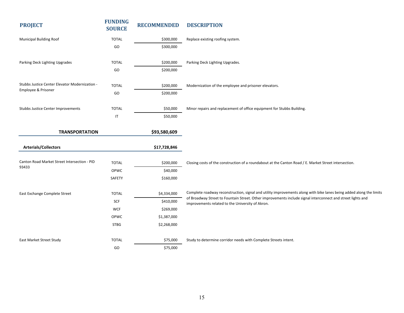| <b>PROJECT</b>                                 | <b>FUNDING</b><br><b>SOURCE</b> | <b>RECOMMENDED</b> | <b>DESCRIPTION</b>                                                                                                  |
|------------------------------------------------|---------------------------------|--------------------|---------------------------------------------------------------------------------------------------------------------|
| Municipal Building Roof                        | <b>TOTAL</b>                    | \$300,000          | Replace existing roofing system.                                                                                    |
|                                                | GO                              | \$300,000          |                                                                                                                     |
| Parking Deck Lighting Upgrades                 | <b>TOTAL</b>                    | \$200,000          | Parking Deck Lighting Upgrades.                                                                                     |
|                                                | GO                              | \$200,000          |                                                                                                                     |
| Stubbs Justice Center Elevator Modernization - | <b>TOTAL</b>                    | \$200,000          | Modernization of the employee and prisoner elevators.                                                               |
| Employee & Prisoner                            | GO                              | \$200,000          |                                                                                                                     |
| Stubbs Justice Center Improvements             | <b>TOTAL</b>                    | \$50,000           | Minor repairs and replacement of office equipment for Stubbs Building.                                              |
|                                                | $\mathsf{I}\mathsf{T}$          | \$50,000           |                                                                                                                     |
| <b>TRANSPORTATION</b>                          |                                 | \$93,580,609       |                                                                                                                     |
| <b>Arterials/Collectors</b>                    |                                 | \$17,728,846       |                                                                                                                     |
| Canton Road Market Street Intersection - PID   | <b>TOTAL</b>                    | \$200,000          | Closing costs of the construction of a roundabout at the Canton Road / E. Market Street intersection.               |
| 93433                                          | OPWC                            | \$40,000           |                                                                                                                     |
|                                                | SAFETY                          | \$160,000          |                                                                                                                     |
| East Exchange Complete Street                  | <b>TOTAL</b>                    | \$4,334,000        | Complete roadway reconstruction, signal and utility improvements along with bike lanes being added along the limits |
|                                                | SCF                             | \$410,000          | of Broadway Street to Fountain Street. Other improvements include signal interconnect and street lights and         |
|                                                | <b>WCF</b>                      | \$269,000          | improvements related to the University of Akron.                                                                    |
|                                                | OPWC                            | \$1,387,000        |                                                                                                                     |
|                                                | <b>STBG</b>                     | \$2,268,000        |                                                                                                                     |
| East Market Street Study                       | <b>TOTAL</b>                    | \$75,000           | Study to determine corridor needs with Complete Streets intent.                                                     |
|                                                | GO                              | \$75,000           |                                                                                                                     |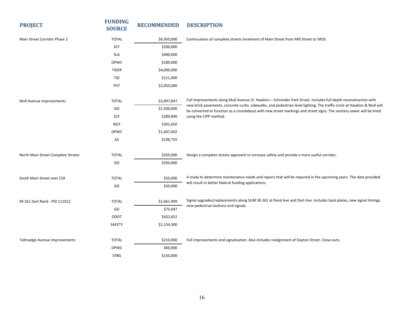| <b>PROJECT</b>                     | <b>FUNDING</b><br><b>SOURCE</b> | <b>RECOMMENDED</b> | <b>DESCRIPTION</b>                                                                                                                                                                                                                               |
|------------------------------------|---------------------------------|--------------------|--------------------------------------------------------------------------------------------------------------------------------------------------------------------------------------------------------------------------------------------------|
| Main Street Corridor Phase 2       | <b>TOTAL</b>                    | \$6,950,000        | Continuation of complete streets treatment of Main Street from Mill Street to SR59.                                                                                                                                                              |
|                                    | SCF                             | \$200,000          |                                                                                                                                                                                                                                                  |
|                                    | <b>SLA</b>                      | \$400,000          |                                                                                                                                                                                                                                                  |
|                                    | OPWC                            | \$189,000          |                                                                                                                                                                                                                                                  |
|                                    | <b>TIGER</b>                    | \$4,000,000        |                                                                                                                                                                                                                                                  |
|                                    | <b>TID</b>                      | \$111,000          |                                                                                                                                                                                                                                                  |
|                                    | <b>PVT</b>                      | \$2,050,000        |                                                                                                                                                                                                                                                  |
| Mull Avenue Improvements           | <b>TOTAL</b>                    | \$3,897,847        | Full improvements along Mull Avenue (S. Hawkins - Schneider Park Drive). Includes full depth reconstruction with                                                                                                                                 |
|                                    | GO                              | \$1,500,000        | new brick pavements, concrete curbs, sidewalks, and pedestrian level lighting. The traffic circle at Hawkins & Mull will<br>be converted to function as a roundabout with new street markings and street signs. The sanitary sewer will be lined |
|                                    | SCF                             | \$289,840          | using the CIPP method.                                                                                                                                                                                                                           |
|                                    | <b>WCF</b>                      | \$301,650          |                                                                                                                                                                                                                                                  |
|                                    | OPWC                            | \$1,607,602        |                                                                                                                                                                                                                                                  |
|                                    | SA                              | \$198,755          |                                                                                                                                                                                                                                                  |
| North Main Street Complete Streets | <b>TOTAL</b>                    | \$350,000          | Design a complete streets approach to increase safety and provide a more useful corridor.                                                                                                                                                        |
|                                    | GO                              | \$350,000          |                                                                                                                                                                                                                                                  |
| South Main Street over CSX         | <b>TOTAL</b>                    | \$50,000           | A study to determine maintenance needs and repairs that will be required in the upcoming years. The data provided                                                                                                                                |
|                                    | GO                              | \$50,000           | will result in better federal funding applications.                                                                                                                                                                                              |
| SR 261 Dart Rand - PID 111012      | <b>TOTAL</b>                    | \$1,661,999        | Signal upgrades/replacements along SUM SR 261 at Rand Ave and Dart Ave. Includes back plates, new signal timings,                                                                                                                                |
|                                    | GO                              | \$75,047           | new pedestrian buttons and signals.                                                                                                                                                                                                              |
|                                    | ODOT                            | \$432,652          |                                                                                                                                                                                                                                                  |
|                                    | <b>SAFETY</b>                   | \$1,154,300        |                                                                                                                                                                                                                                                  |
| Tallmadge Avenue Improvements      | <b>TOTAL</b>                    | \$210,000          | Full improvements and signalization. Also includes realignment of Dayton Street. Close-outs.                                                                                                                                                     |
|                                    | OPWC                            | \$60,000           |                                                                                                                                                                                                                                                  |
|                                    | <b>STBG</b>                     | \$150,000          |                                                                                                                                                                                                                                                  |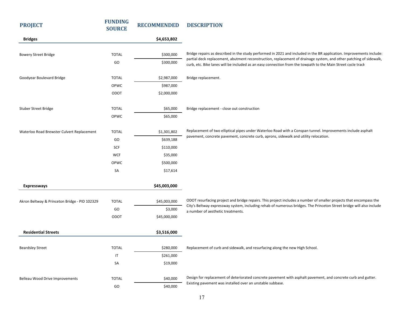| <b>PROJECT</b>                                | <b>FUNDING</b><br><b>SOURCE</b> | <b>RECOMMENDED</b> | <b>DESCRIPTION</b>                                                                                                                                                                                                                 |
|-----------------------------------------------|---------------------------------|--------------------|------------------------------------------------------------------------------------------------------------------------------------------------------------------------------------------------------------------------------------|
| <b>Bridges</b>                                |                                 | \$4,653,802        |                                                                                                                                                                                                                                    |
| <b>Bowery Street Bridge</b>                   | <b>TOTAL</b>                    | \$300,000          | Bridge repairs as described in the study performed in 2021 and included in the BR application. Improvements include:                                                                                                               |
|                                               | GO                              | \$300,000          | partial deck replacement, abutment reconstruction, replacement of drainage system, and other patching of sidewalk,<br>curb, etc. Bike lanes will be included as an easy connection from the towpath to the Main Street cycle track |
| Goodyear Boulevard Bridge                     | <b>TOTAL</b>                    | \$2,987,000        | Bridge replacement.                                                                                                                                                                                                                |
|                                               | OPWC                            | \$987,000          |                                                                                                                                                                                                                                    |
|                                               | ODOT                            | \$2,000,000        |                                                                                                                                                                                                                                    |
| <b>Stuber Street Bridge</b>                   | <b>TOTAL</b>                    | \$65,000           | Bridge replacement - close out construction                                                                                                                                                                                        |
|                                               | OPWC                            | \$65,000           |                                                                                                                                                                                                                                    |
| Waterloo Road Brewster Culvert Replacement    | <b>TOTAL</b>                    | \$1,301,802        | Replacement of two elliptical pipes under Waterloo Road with a Conspan tunnel. Improvements include asphalt                                                                                                                        |
|                                               | GO                              | \$639,188          | pavement, concrete pavement, concrete curb, aprons, sidewalk and utility relocation.                                                                                                                                               |
|                                               | SCF                             | \$110,000          |                                                                                                                                                                                                                                    |
|                                               | <b>WCF</b>                      | \$35,000           |                                                                                                                                                                                                                                    |
|                                               | OPWC                            | \$500,000          |                                                                                                                                                                                                                                    |
|                                               | SA                              | \$17,614           |                                                                                                                                                                                                                                    |
| <b>Expressways</b>                            |                                 | \$45,003,000       |                                                                                                                                                                                                                                    |
| Akron Beltway & Princeton Bridge - PID 102329 | <b>TOTAL</b>                    | \$45,003,000       | ODOT resurfacing project and bridge repairs. This project includes a number of smaller projects that encompass the                                                                                                                 |
|                                               | GO                              | \$3,000            | City's Beltway expressway system, including rehab of numerous bridges. The Princeton Street bridge will also include<br>a number of aesthetic treatments.                                                                          |
|                                               | ODOT                            | \$45,000,000       |                                                                                                                                                                                                                                    |
| <b>Residential Streets</b>                    |                                 | \$3,516,000        |                                                                                                                                                                                                                                    |
| <b>Beardsley Street</b>                       | <b>TOTAL</b>                    | \$280,000          | Replacement of curb and sidewalk, and resurfacing along the new High School.                                                                                                                                                       |
|                                               | IT                              | \$261,000          |                                                                                                                                                                                                                                    |
|                                               | SA                              | \$19,000           |                                                                                                                                                                                                                                    |
| Belleau Wood Drive Improvements               | <b>TOTAL</b>                    | \$40,000           | Design for replacement of deteriorated concrete pavement with asphalt pavement, and concrete curb and gutter.                                                                                                                      |
|                                               | GO                              | \$40,000           | Existing pavement was installed over an unstable subbase.                                                                                                                                                                          |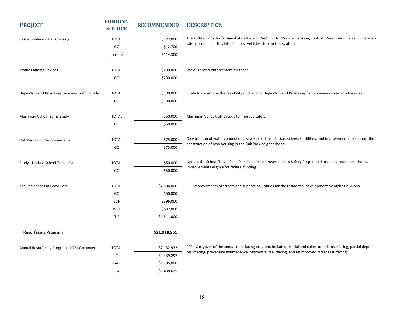| <b>PROJECT</b>                               | <b>FUNDING</b><br><b>SOURCE</b> | <b>RECOMMENDED</b> | <b>DESCRIPTION</b>                                                                                                     |
|----------------------------------------------|---------------------------------|--------------------|------------------------------------------------------------------------------------------------------------------------|
| Castle Boulevard Rail Crossing               | <b>TOTAL</b>                    | \$127,000          | The addition of a traffic signal at Castle and Winhurst for Railroad crossing control. Preemption for rail. There is a |
|                                              | GO                              | \$12,700           | safety problem at this intersection. Vehicles stop on tracks often.                                                    |
|                                              | <b>SAFETY</b>                   | \$114,300          |                                                                                                                        |
|                                              |                                 |                    |                                                                                                                        |
| <b>Traffic Calming Devices</b>               | <b>TOTAL</b>                    | \$200,000          | Various speed enforcement methods.                                                                                     |
|                                              | GO                              | \$200,000          |                                                                                                                        |
| High-Main and Broadway two-way Traffic Study | <b>TOTAL</b>                    | \$100,000          | Study to determine the feasibility of changing High-Main and Broadway from one-way streets to two-way.                 |
|                                              | GO                              | \$100,000          |                                                                                                                        |
|                                              |                                 |                    |                                                                                                                        |
| Merriman Valley Traffic Study                | <b>TOTAL</b>                    | \$50,000           | Merriman Valley traffic study to improve safety.                                                                       |
|                                              | GO                              | \$50,000           |                                                                                                                        |
| Oak Park Public Improvements                 | <b>TOTAL</b>                    | \$75,000           | Construction of water connections, sewer, road installation, sidewalk, utilities, and improvements to support the      |
|                                              | GO                              | \$75,000           | construction of new housing in the Oak Park neighborhood.                                                              |
| Study - Update School Travel Plan            | <b>TOTAL</b>                    | \$50,000           | Update the School Travel Plan. Plan includes improvements to Safety for pedestrians along routes to schools.           |
|                                              | GO                              | \$50,000           | Improvements eligible for federal funding.                                                                             |
|                                              |                                 |                    |                                                                                                                        |
| The Residences at Good Park                  | <b>TOTAL</b>                    | \$2,594,000        | Full improvements of streets and supporting utilities for the residential development by Alpha Phi Alpha.              |
|                                              | GO                              | \$50,000           |                                                                                                                        |
|                                              | SCF                             | \$396,000          |                                                                                                                        |
|                                              | <b>WCF</b>                      | \$637,000          |                                                                                                                        |
|                                              | TIF                             | \$1,511,000        |                                                                                                                        |
| <b>Resurfacing Program</b>                   |                                 | \$21,918,961       |                                                                                                                        |
|                                              |                                 |                    | 2021 Carryover of the annual resurfacing program. Includes arterial and collector, microsurfacing, partial depth       |
| Annual Resurfacing Program - 2021 Carryover  | <b>TOTAL</b>                    | \$7,132,922        | resurfacing, preventive maintenance, residential resurfacing, and unimproved street resurfacing.                       |
|                                              | $\mathsf{I}$                    | \$4,439,297        |                                                                                                                        |
|                                              | GAS                             | \$1,285,000        |                                                                                                                        |
|                                              | SA                              | \$1,408,625        |                                                                                                                        |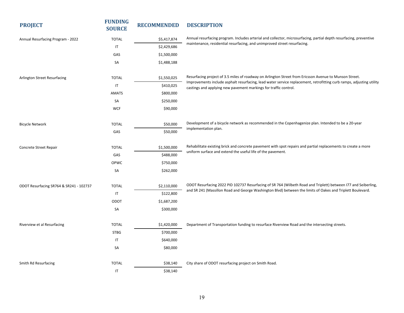| <b>PROJECT</b>                          | <b>FUNDING</b><br><b>SOURCE</b> | <b>RECOMMENDED</b> | <b>DESCRIPTION</b>                                                                                                                                                                       |
|-----------------------------------------|---------------------------------|--------------------|------------------------------------------------------------------------------------------------------------------------------------------------------------------------------------------|
| Annual Resurfacing Program - 2022       | <b>TOTAL</b>                    | \$5,417,874        | Annual resurfacing program. Includes arterial and collector, microsurfacing, partial depth resurfacing, preventive                                                                       |
|                                         | $\sf IT$                        | \$2,429,686        | maintenance, residential resurfacing, and unimproved street resurfacing.                                                                                                                 |
|                                         | GAS                             | \$1,500,000        |                                                                                                                                                                                          |
|                                         | SA                              | \$1,488,188        |                                                                                                                                                                                          |
| Arlington Street Resurfacing            | <b>TOTAL</b>                    | \$1,550,025        | Resurfacing project of 3.5 miles of roadway on Arlington Street from Ericsson Avenue to Munson Street.                                                                                   |
|                                         | IT                              | \$410,025          | Improvements include asphalt resurfacing, lead water service replacement, retrofitting curb ramps, adjusting utility<br>castings and applying new pavement markings for traffic control. |
|                                         | <b>AMATS</b>                    | \$800,000          |                                                                                                                                                                                          |
|                                         | SA                              | \$250,000          |                                                                                                                                                                                          |
|                                         | <b>WCF</b>                      | \$90,000           |                                                                                                                                                                                          |
| <b>Bicycle Network</b>                  | <b>TOTAL</b>                    | \$50,000           | Development of a bicycle network as recommended in the Copenhagenize plan. Intended to be a 20-year                                                                                      |
|                                         | GAS                             | \$50,000           | implementation plan.                                                                                                                                                                     |
| Concrete Street Repair                  | <b>TOTAL</b>                    | \$1,500,000        | Rehabilitate existing brick and concrete pavement with spot repairs and partial replacements to create a more                                                                            |
|                                         | GAS                             | \$488,000          | uniform surface and extend the useful life of the pavement.                                                                                                                              |
|                                         | OPWC                            | \$750,000          |                                                                                                                                                                                          |
|                                         | SA                              | \$262,000          |                                                                                                                                                                                          |
| ODOT Resurfacing SR764 & SR241 - 102737 | <b>TOTAL</b>                    | \$2,110,000        | ODOT Resurfacing 2022 PID 102737 Resurfacing of SR 764 (Wilbeth Road and Triplett) between I77 and Seiberling,                                                                           |
|                                         | IT                              | \$122,800          | and SR 241 (Massillon Road and George Washington Blvd) between the limits of Oakes and Triplett Boulevard.                                                                               |
|                                         | ODOT                            | \$1,687,200        |                                                                                                                                                                                          |
|                                         | SA                              | \$300,000          |                                                                                                                                                                                          |
| Riverview et al Resurfacing             | <b>TOTAL</b>                    | \$1,420,000        | Department of Transportation funding to resurface Riverview Road and the intersecting streets.                                                                                           |
|                                         | <b>STBG</b>                     | \$700,000          |                                                                                                                                                                                          |
|                                         | $\mathsf{I}\mathsf{T}$          | \$640,000          |                                                                                                                                                                                          |
|                                         | SA                              | \$80,000           |                                                                                                                                                                                          |
| Smith Rd Resurfacing                    | <b>TOTAL</b>                    | \$38,140           | City share of ODOT resurfacing project on Smith Road.                                                                                                                                    |
|                                         | $\sf IT$                        | \$38,140           |                                                                                                                                                                                          |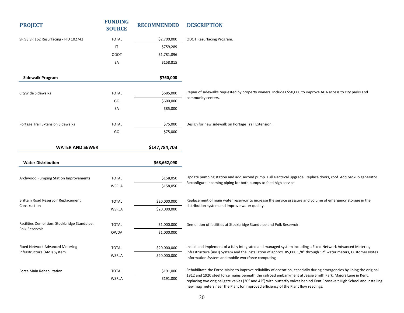| <b>PROJECT</b>                                                 | <b>FUNDING</b><br><b>SOURCE</b> | <b>RECOMMENDED</b> | <b>DESCRIPTION</b>                                                                                                                                                                                                                                                                                                         |
|----------------------------------------------------------------|---------------------------------|--------------------|----------------------------------------------------------------------------------------------------------------------------------------------------------------------------------------------------------------------------------------------------------------------------------------------------------------------------|
| SR 93 SR 162 Resurfacing - PID 102742                          | <b>TOTAL</b>                    | \$2,700,000        | ODOT Resurfacing Program.                                                                                                                                                                                                                                                                                                  |
|                                                                | IT                              | \$759,289          |                                                                                                                                                                                                                                                                                                                            |
|                                                                | <b>ODOT</b>                     | \$1,781,896        |                                                                                                                                                                                                                                                                                                                            |
|                                                                | SA                              | \$158,815          |                                                                                                                                                                                                                                                                                                                            |
| <b>Sidewalk Program</b>                                        |                                 | \$760,000          |                                                                                                                                                                                                                                                                                                                            |
| Citywide Sidewalks                                             | <b>TOTAL</b>                    | \$685,000          | Repair of sidewalks requested by property owners. Includes \$50,000 to improve ADA access to city parks and                                                                                                                                                                                                                |
|                                                                | GO                              | \$600,000          | community centers.                                                                                                                                                                                                                                                                                                         |
|                                                                | SA                              | \$85,000           |                                                                                                                                                                                                                                                                                                                            |
| Portage Trail Extension Sidewalks                              | <b>TOTAL</b>                    | \$75,000           | Design for new sidewalk on Portage Trail Extension.                                                                                                                                                                                                                                                                        |
|                                                                | GO                              | \$75,000           |                                                                                                                                                                                                                                                                                                                            |
| <b>WATER AND SEWER</b>                                         |                                 | \$147,784,703      |                                                                                                                                                                                                                                                                                                                            |
| <b>Water Distribution</b>                                      |                                 | \$68,662,090       |                                                                                                                                                                                                                                                                                                                            |
| <b>Archwood Pumping Station Improvements</b>                   | <b>TOTAL</b>                    | \$158,050          | Update pumping station and add second pump. Full electrical upgrade. Replace doors, roof. Add backup generator.                                                                                                                                                                                                            |
|                                                                | WSRLA                           | \$158,050          | Reconfigure incoming piping for both pumps to feed high service.                                                                                                                                                                                                                                                           |
| Brittain Road Reservoir Replacement                            | <b>TOTAL</b>                    | \$20,000,000       | Replacement of main water reservoir to increase the service pressure and volume of emergency storage in the                                                                                                                                                                                                                |
| Construction                                                   | WSRLA                           | \$20,000,000       | distribution system and improve water quality.                                                                                                                                                                                                                                                                             |
| Facilities Demolition: Stockbridge Standpipe,                  | <b>TOTAL</b>                    | \$1,000,000        | Demolition of facilities at Stockbridge Standpipe and Polk Reservoir.                                                                                                                                                                                                                                                      |
| Polk Reservoir                                                 | <b>OWDA</b>                     | \$1,000,000        |                                                                                                                                                                                                                                                                                                                            |
| Fixed Network Advanced Metering<br>Infrastructure (AMI) System | <b>TOTAL</b>                    | \$20,000,000       | Install and implement of a fully integrated and managed system including a Fixed Network Advanced Metering                                                                                                                                                                                                                 |
|                                                                | WSRLA                           | \$20,000,000       | Infrastructure (AMI) System and the installation of approx. 85,000 5/8" through 12" water meters, Customer Notes<br>Information System and mobile workforce computing.                                                                                                                                                     |
| Force Main Rehabilitation                                      | <b>TOTAL</b>                    | \$191,000          | Rehabilitate the Force Mains to improve reliability of operation, especially during emergencies by lining the original                                                                                                                                                                                                     |
|                                                                | WSRLA                           | \$191,000          | 1912 and 1920 steel force mains beneath the railroad embankment at Jessie Smith Park, Majors Lane in Kent,<br>replacing two original gate valves (30" and 42") with butterfly valves behind Kent Roosevelt High School and installing<br>new mag meters near the Plant for improved efficiency of the Plant flow readings. |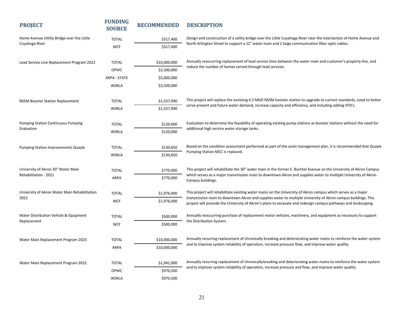| <b>PROJECT</b>                                              | <b>FUNDING</b><br><b>SOURCE</b> | <b>RECOMMENDED</b> | <b>DESCRIPTION</b>                                                                                                                                                                                                                    |
|-------------------------------------------------------------|---------------------------------|--------------------|---------------------------------------------------------------------------------------------------------------------------------------------------------------------------------------------------------------------------------------|
| Home Avenue Utility Bridge over the Little                  | <b>TOTAL</b>                    | \$317,400          | Design and construction of a utility bridge over the Little Cuyahoga River near the intersection of Home Avenue and                                                                                                                   |
| Cuyahoga River                                              | <b>WCF</b>                      | \$317,400          | North Arlington Street to support a 12" water main and 2 large communication fiber optic cables.                                                                                                                                      |
| Lead Service Line Replacement Program 2022                  | <b>TOTAL</b>                    | \$10,000,000       | Annually reoccurring replacement of lead service lines between the water main and customer's property line, and                                                                                                                       |
|                                                             | OPWC                            | \$2,500,000        | reduce the number of homes served through lead services.                                                                                                                                                                              |
|                                                             | <b>ARPA - STATE</b>             | \$5,000,000        |                                                                                                                                                                                                                                       |
|                                                             | <b>WSRLA</b>                    | \$2,500,000        |                                                                                                                                                                                                                                       |
| <b>NSSM Booster Station Replacement</b>                     | <b>TOTAL</b>                    | \$1,557,990        | This project will replace the exsisting 4.3 MGD NSSM booster station to upgrade to current standards, sized to better                                                                                                                 |
|                                                             | WSRLA                           | \$1,557,990        | serve present and future water demand, increase capacity and efficiency, and including adding VFD's.                                                                                                                                  |
| <b>Pumping Station Continuous Pumping</b><br>Evaluation     | <b>TOTAL</b>                    | \$120,000          | Evaluation to determine the feasibility of operating existing pump stations as booster stations without the need for<br>additional high service water storage tanks.                                                                  |
|                                                             | <b>WSRLA</b>                    | \$120,000          |                                                                                                                                                                                                                                       |
| <b>Pumping Station Improvements Quayle</b>                  | <b>TOTAL</b>                    | \$130,650          | Based on the condition assessment performed as part of the asset management plan, it is recommended that Quayle<br>Pumping Station MCC is replaced.                                                                                   |
|                                                             | <b>WSRLA</b>                    | \$130,650          |                                                                                                                                                                                                                                       |
| University of Akron 30" Water Main<br>Rehabilitation - 2021 | <b>TOTAL</b>                    | \$770,000          | This project will rehabilitate the 30" water main in the former E. Buchtel Avenue on the University of Akron Campus<br>which serves as a major transmission main to downtown Akron and supplies water to multiple University of Akron |
|                                                             | ARPA                            | \$770,000          | Campus buildings.                                                                                                                                                                                                                     |
| University of Akron Water Main Rehabilitation<br>2022       | <b>TOTAL</b>                    | \$1,976,000        | This project will rehabilitate existing water mains on the University of Akron campus which serves as a major<br>transmission main to downtown Akron and supplies water to multiple University of Akron campus buildings. This        |
|                                                             | <b>WCF</b>                      | \$1,976,000        | project will precede the University of Akron's plans to excavate and redesign campus pathways and landscaping.                                                                                                                        |
| Water Distribution Vehicle & Equipment                      | <b>TOTAL</b>                    | \$500,000          | Annually reoccurring purchase of replacement motor vehicles, machinery, and equipment as necessary to support                                                                                                                         |
| Replacement                                                 | <b>WCF</b>                      | \$500,000          | the Distribution System.                                                                                                                                                                                                              |
| Water Main Replacement Program 2023                         | <b>TOTAL</b>                    | \$10,000,000       | Annually recurring replacement of chronically-breaking and deteriorating water mains to reinforce the water system                                                                                                                    |
|                                                             | <b>ARPA</b>                     | \$10,000,000       | and to improve system reliability of operation, increase pressure flow, and improve water quality.                                                                                                                                    |
| Water Main Replacement Program 2022                         | <b>TOTAL</b>                    | \$1,941,000        | Annually recurring replacement of chronically-breaking and deteriorating water mains to reinforce the water system                                                                                                                    |
|                                                             | OPWC                            | \$970,500          | and to improve system reliability of operation, increase pressure and flow, and improve water quality.                                                                                                                                |
|                                                             | <b>WSRLA</b>                    | \$970,500          |                                                                                                                                                                                                                                       |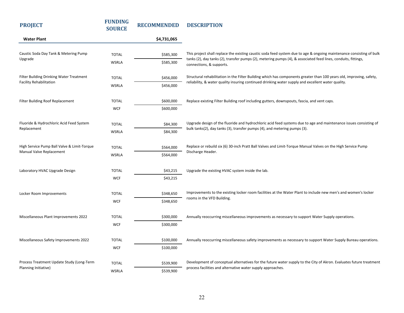| <b>PROJECT</b>                                                    | <b>FUNDING</b><br><b>SOURCE</b> | <b>RECOMMENDED</b> | <b>DESCRIPTION</b>                                                                                                                                                                             |
|-------------------------------------------------------------------|---------------------------------|--------------------|------------------------------------------------------------------------------------------------------------------------------------------------------------------------------------------------|
| <b>Water Plant</b>                                                |                                 | \$4,731,065        |                                                                                                                                                                                                |
| Caustic Soda Day Tank & Metering Pump<br>Upgrade                  | <b>TOTAL</b>                    | \$585,300          | This project shall replace the existing caustic soda feed system due to age & ongoing maintenance consisting of bulk                                                                           |
|                                                                   | <b>WSRLA</b>                    | \$585,300          | tanks (2), day tanks (2), transfer pumps (2), metering pumps (4), & associated feed lines, conduits, fittings,<br>connections, & supports.                                                     |
| Filter Building Drinking Water Treatment                          | <b>TOTAL</b>                    | \$456,000          | Structural rehabilitation in the Filter Building which has components greater than 100 years old, improving, safety,                                                                           |
| <b>Facility Rehabilitation</b>                                    | <b>WSRLA</b>                    | \$456,000          | reliability, & water quality insuring continued drinking water supply and excellent water quality.                                                                                             |
| Filter Building Roof Replacement                                  | <b>TOTAL</b>                    | \$600,000          | Replace existing Filter Building roof including gutters, downspouts, fascia, and vent caps.                                                                                                    |
|                                                                   | <b>WCF</b>                      | \$600,000          |                                                                                                                                                                                                |
| Fluoride & Hydrochloric Acid Feed System                          | <b>TOTAL</b>                    | \$84,300           | Upgrade design of the fluoride and hydrochloric acid feed systems due to age and maintenance issues consisting of<br>bulk tanks(2), day tanks (3), transfer pumps (4), and metering pumps (3). |
| Replacement                                                       | WSRLA                           | \$84,300           |                                                                                                                                                                                                |
| High Service Pump Ball Valve & Limit-Torque                       | <b>TOTAL</b>                    | \$564,000          | Replace or rebuild six (6) 30-inch Pratt Ball Valves and Limit-Torque Manual Valves on the High Service Pump                                                                                   |
| Manual Valve Replacement                                          | <b>WSRLA</b>                    | \$564,000          | Discharge Header.                                                                                                                                                                              |
| Laboratory HVAC Upgrade Design                                    | <b>TOTAL</b>                    | \$43,215           | Upgrade the existing HVAC system inside the lab.                                                                                                                                               |
|                                                                   | <b>WCF</b>                      | \$43,215           |                                                                                                                                                                                                |
| Locker Room Improvements                                          | <b>TOTAL</b>                    | \$348,650          | Improvements to the existing locker room facilities at the Water Plant to include new men's and women's locker                                                                                 |
|                                                                   | <b>WCF</b>                      | \$348,650          | rooms in the VFD Building.                                                                                                                                                                     |
| Miscellaneous Plant Improvements 2022                             | <b>TOTAL</b>                    | \$300,000          | Annually reoccurring miscellaneous improvements as necessary to support Water Supply operations.                                                                                               |
|                                                                   | <b>WCF</b>                      | \$300,000          |                                                                                                                                                                                                |
| Miscellaneous Safety Improvements 2022                            | <b>TOTAL</b>                    | \$100,000          | Annually reoccurring miscellaneous safety improvements as necessary to support Water Supply Bureau operations.                                                                                 |
|                                                                   | <b>WCF</b>                      | \$100,000          |                                                                                                                                                                                                |
| Process Treatment Update Study (Long-Term<br>Planning Initiative) | <b>TOTAL</b>                    | \$539,900          | Development of conceptual alternatives for the future water supply to the City of Akron. Evaluates future treatment                                                                            |
|                                                                   | <b>WSRLA</b>                    | \$539,900          | process facilities and alternative water supply approaches.                                                                                                                                    |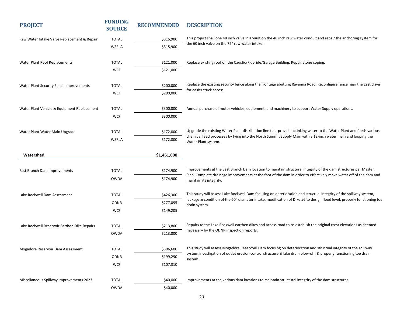| <b>PROJECT</b>                               | <b>FUNDING</b><br><b>SOURCE</b> | <b>RECOMMENDED</b> | <b>DESCRIPTION</b>                                                                                                                                                                                                                            |
|----------------------------------------------|---------------------------------|--------------------|-----------------------------------------------------------------------------------------------------------------------------------------------------------------------------------------------------------------------------------------------|
| Raw Water Intake Valve Replacement & Repair  | <b>TOTAL</b>                    | \$315,900          | This project shall one 48 inch valve in a vault on the 48 inch raw water conduit and repair the anchoring system for                                                                                                                          |
|                                              | WSRLA                           | \$315,900          | the 60 inch valve on the 72" raw water intake.                                                                                                                                                                                                |
| Water Plant Roof Replacements                | <b>TOTAL</b>                    | \$121,000          | Replace existing roof on the Caustic/Fluoride/Garage Building. Repair stone coping.                                                                                                                                                           |
|                                              | <b>WCF</b>                      | \$121,000          |                                                                                                                                                                                                                                               |
|                                              |                                 |                    |                                                                                                                                                                                                                                               |
| Water Plant Security Fence Improvements      | <b>TOTAL</b>                    | \$200,000          | Replace the existing security fence along the frontage abutting Ravenna Road. Reconfigure fence near the East drive                                                                                                                           |
|                                              | <b>WCF</b>                      | \$200,000          | for easier truck access.                                                                                                                                                                                                                      |
|                                              |                                 |                    |                                                                                                                                                                                                                                               |
| Water Plant Vehicle & Equipment Replacement  | <b>TOTAL</b>                    | \$300,000          | Annual purchase of motor vehicles, equipment, and machinery to support Water Supply operations.                                                                                                                                               |
|                                              | <b>WCF</b>                      | \$300,000          |                                                                                                                                                                                                                                               |
| Water Plant Water Main Upgrade               | <b>TOTAL</b>                    | \$172,800          | Upgrade the existing Water Plant distribution line that provides drinking water to the Water Plant and feeds various                                                                                                                          |
|                                              | <b>WSRLA</b>                    | \$172,800          | chemical feed processes by tying into the North Summit Supply Main with a 12-inch water main and looping the<br>Water Plant system.                                                                                                           |
|                                              |                                 |                    |                                                                                                                                                                                                                                               |
| Watershed                                    |                                 | \$1,461,600        |                                                                                                                                                                                                                                               |
|                                              |                                 |                    |                                                                                                                                                                                                                                               |
| East Branch Dam Improvements                 | <b>TOTAL</b>                    | \$174,900          | Improvements at the East Branch Dam location to maintain structural integrity of the dam structures per Master<br>Plan. Complete drainage improvements at the foot of the dam in order to effectively move water off of the dam and           |
|                                              | <b>OWDA</b>                     | \$174,900          | maintain its integrity.                                                                                                                                                                                                                       |
|                                              |                                 |                    |                                                                                                                                                                                                                                               |
| Lake Rockwell Dam Assessment                 | <b>TOTAL</b>                    | \$426,300          | This study will assess Lake Rockwell Dam focusing on deterioration and structual integrity of the spillway system,<br>leakage & condition of the 60" diameter intake, modification of Dike #6 to design flood level, properly functioning toe |
|                                              | <b>ODNR</b>                     | \$277,095          | drain system.                                                                                                                                                                                                                                 |
|                                              | <b>WCF</b>                      | \$149,205          |                                                                                                                                                                                                                                               |
| Lake Rockwell Reservoir Earthen Dike Repairs | <b>TOTAL</b>                    | \$213,800          | Repairs to the Lake Rockwell earthen dikes and access road to re-establish the original crest elevations as deemed                                                                                                                            |
|                                              | <b>OWDA</b>                     | \$213,800          | necessary by the ODNR inspection reports.                                                                                                                                                                                                     |
|                                              |                                 |                    |                                                                                                                                                                                                                                               |
| Mogadore Reservoir Dam Assessment            | <b>TOTAL</b>                    | \$306,600          | This study will assess Mogadore Reservoirl Dam focusing on deterioration and structual integrity of the spillway                                                                                                                              |
|                                              | <b>ODNR</b>                     | \$199,290          | system, investigation of outlet erosion control structure & lake drain blow-off, & properly functioning toe drain<br>system.                                                                                                                  |
|                                              | <b>WCF</b>                      | \$107,310          |                                                                                                                                                                                                                                               |
|                                              |                                 |                    |                                                                                                                                                                                                                                               |
| Miscellaneous Spillway Improvements 2023     | <b>TOTAL</b>                    | \$40,000           | Improvements at the various dam locations to maintain structural integrity of the dam structures.                                                                                                                                             |
|                                              | OWDA                            | \$40,000           |                                                                                                                                                                                                                                               |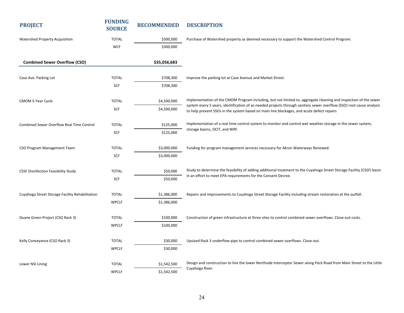| <b>PROJECT</b>                                  | <b>FUNDING</b><br><b>SOURCE</b> | <b>RECOMMENDED</b> | <b>DESCRIPTION</b>                                                                                                                                                                                                                       |
|-------------------------------------------------|---------------------------------|--------------------|------------------------------------------------------------------------------------------------------------------------------------------------------------------------------------------------------------------------------------------|
| Watershed Property Acquisition                  | <b>TOTAL</b>                    | \$300,000          | Purchase of Watershed property as deemed necessary to support the Watershed Control Program.                                                                                                                                             |
|                                                 | <b>WCF</b>                      | \$300,000          |                                                                                                                                                                                                                                          |
| <b>Combined Sewer Overflow (CSO)</b>            |                                 | \$35,056,683       |                                                                                                                                                                                                                                          |
| Case Ave. Parking Lot                           | <b>TOTAL</b>                    | \$708,300          | Improve the parking lot at Case Avenue and Market Street.                                                                                                                                                                                |
|                                                 | SCF                             | \$708,300          |                                                                                                                                                                                                                                          |
| CMOM 5-Year Cycle                               | <b>TOTAL</b>                    | \$4,500,000        | Implementation of the CMOM Program including, but not limited to, aggregate cleaning and inspection of the sewer<br>system every 5 years, identification of as-needed projects through sanitary sewer overflow (SSO) root cause analysis |
|                                                 | SCF                             | \$4,500,000        | to help prevent SSOs in the system based on main line blockages, and acute defect repairs                                                                                                                                                |
| Combined Sewer Overflow Real Time Control       | <b>TOTAL</b>                    | \$125,000          | Implementation of a real time control system to monitor and control wet weather storage in the sewer system,                                                                                                                             |
|                                                 | SCF                             | \$125,000          | storage basins, OCIT, and WRF.                                                                                                                                                                                                           |
| CSO Program Management Team                     | <b>TOTAL</b>                    | \$3,000,000        | Funding for program management services necessary for Akron Waterways Renewed.                                                                                                                                                           |
|                                                 | SCF                             | \$3,000,000        |                                                                                                                                                                                                                                          |
| <b>CSSF Disinfection Feasibility Study</b>      | <b>TOTAL</b>                    | \$50,000           | Study to determine the feasibility of adding additional treatment to the Cuyahoga Street Storage Facility (CSSF) basin                                                                                                                   |
|                                                 | SCF                             | \$50,000           | in an effort to meet EPA requirements for the Consent Decree.                                                                                                                                                                            |
| Cuyahoga Street Storage Facility Rehabilitation | <b>TOTAL</b>                    | \$1,386,000        | Repairs and improvements to Cuyahoga Street Storage Facility including stream restoration at the outfall.                                                                                                                                |
|                                                 | <b>WPCLF</b>                    | \$1,386,000        |                                                                                                                                                                                                                                          |
| Duane Green Project (CSO Rack 3)                | <b>TOTAL</b>                    | \$100,000          | Construction of green infrastructure at three sites to control combined sewer overflows. Close-out costs.                                                                                                                                |
|                                                 | <b>WPCLF</b>                    | \$100,000          |                                                                                                                                                                                                                                          |
| Kelly Conveyance (CSO Rack 3)                   | <b>TOTAL</b>                    | \$30,000           | Upsized Rack 3 underflow pipe to control combined sewer overflows. Close-out.                                                                                                                                                            |
|                                                 | <b>WPCLF</b>                    | \$30,000           |                                                                                                                                                                                                                                          |
| Lower NSI Lining                                | <b>TOTAL</b>                    | \$1,542,500        | Design and construction to line the lower Northside Interceptor Sewer along Peck Road from Main Street to the Little                                                                                                                     |
|                                                 | <b>WPCLF</b>                    | \$1,542,500        | Cuyahoga River.                                                                                                                                                                                                                          |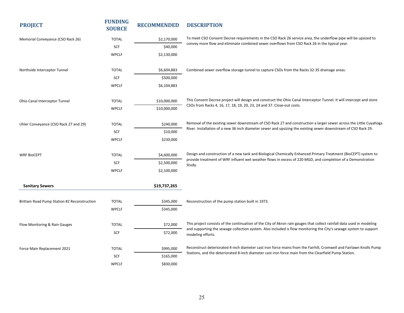| <b>PROJECT</b>                               | <b>FUNDING</b><br><b>SOURCE</b> | <b>RECOMMENDED</b> | <b>DESCRIPTION</b>                                                                                                                     |
|----------------------------------------------|---------------------------------|--------------------|----------------------------------------------------------------------------------------------------------------------------------------|
| Memorial Conveyance (CSO Rack 26)            | <b>TOTAL</b>                    | \$2,170,000        | To meet CSO Consent Decree requirements in the CSO Rack 26 service area, the underflow pipe will be upsized to                         |
|                                              | SCF                             | \$40,000           | convey more flow and eliminate combined sewer overflows from CSO Rack 26 in the typical year.                                          |
|                                              | <b>WPCLF</b>                    | \$2,130,000        |                                                                                                                                        |
|                                              |                                 |                    |                                                                                                                                        |
| Northside Interceptor Tunnel                 | <b>TOTAL</b>                    | \$6,604,883        | Combined sewer overflow storage tunnel to capture CSOs from the Racks 32-35 drainage areas.                                            |
|                                              | SCF                             | \$500,000          |                                                                                                                                        |
|                                              | <b>WPCLF</b>                    | \$6,104,883        |                                                                                                                                        |
| Ohio Canal Interceptor Tunnel                | <b>TOTAL</b>                    | \$10,000,000       | This Consent Decree project will design and construct the Ohio Canal Interceptor Tunnel. It will intercept and store                   |
|                                              | <b>WPCLF</b>                    | \$10,000,000       | CSOs from Racks 4, 16, 17, 18, 19, 20, 23, 24 and 37. Close-out costs.                                                                 |
|                                              |                                 |                    | Removal of the existing sewer downstream of CSO Rack 27 and construction a larger sewer across the Little Cuyahoga                     |
| Uhler Conveyance (CSO Rack 27 and 29)        | <b>TOTAL</b>                    | \$240,000          | River. Installation of a new 36 inch diameter sewer and upsizing the existing sewer downstream of CSO Rack 29.                         |
|                                              | SCF                             | \$10,000           |                                                                                                                                        |
|                                              | <b>WPCLF</b>                    | \$230,000          |                                                                                                                                        |
| <b>WRF BioCEPT</b>                           | <b>TOTAL</b>                    | \$4,600,000        | Design and construction of a new tank and Biological Chemically Enhanced Primary Treatment (BioCEPT) system to                         |
|                                              | SCF                             | \$2,500,000        | provide treatment of WRF influent wet weather flows in excess of 220 MGD, and completion of a Demonstration<br>Study.                  |
|                                              | <b>WPCLF</b>                    | \$2,100,000        |                                                                                                                                        |
| <b>Sanitary Sewers</b>                       |                                 | \$19,737,265       |                                                                                                                                        |
| Brittain Road Pump Station #2 Reconstruction | <b>TOTAL</b>                    | \$345,000          | Reconstruction of the pump station built in 1973.                                                                                      |
|                                              |                                 |                    |                                                                                                                                        |
|                                              | <b>WPCLF</b>                    | \$345,000          |                                                                                                                                        |
| Flow Monitoring & Rain Gauges                | <b>TOTAL</b>                    | \$72,000           | This project consists of the continuation of the City of Akron rain gauges that collect rainfall data used in modeling                 |
|                                              | SCF                             | \$72,000           | and supporting the sewage collection system. Also included is flow monitoring the City's sewage system to support<br>modeling efforts. |
| Force Main Replacement 2021                  | <b>TOTAL</b>                    | \$995,000          | Reconstruct deteriorated 4-inch diameter cast iron force mains from the Fairhill, Cromwell and Fairlawn Knolls Pump                    |
|                                              | SCF                             | \$165,000          | Stations, and the deteriorated 8-inch diameter cast iron force main from the Clearfield Pump Station.                                  |
|                                              | <b>WPCLF</b>                    | \$830,000          |                                                                                                                                        |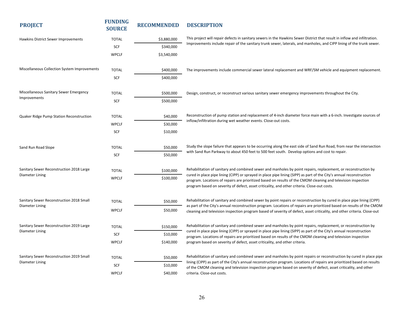| <b>PROJECT</b>                                              | <b>FUNDING</b><br><b>SOURCE</b> | <b>RECOMMENDED</b> | <b>DESCRIPTION</b>                                                                                                                                                                                                                                                                                                                    |
|-------------------------------------------------------------|---------------------------------|--------------------|---------------------------------------------------------------------------------------------------------------------------------------------------------------------------------------------------------------------------------------------------------------------------------------------------------------------------------------|
| Hawkins District Sewer Improvements                         | <b>TOTAL</b>                    | \$3,880,000        | This project will repair defects in sanitary sewers in the Hawkins Sewer District that result in inflow and infiltration.                                                                                                                                                                                                             |
|                                                             | SCF                             | \$340,000          | Improvements include repair of the sanitary trunk sewer, laterals, and manholes, and CIPP lining of the trunk sewer.                                                                                                                                                                                                                  |
|                                                             | <b>WPCLF</b>                    | \$3,540,000        |                                                                                                                                                                                                                                                                                                                                       |
| Miscellaneous Collection System Improvements                | <b>TOTAL</b>                    | \$400,000          | The improvements include commercial sewer lateral replacement and WRF/SM vehicle and equipment replacement.                                                                                                                                                                                                                           |
|                                                             | SCF                             | \$400,000          |                                                                                                                                                                                                                                                                                                                                       |
| Miscellaneous Sanitary Sewer Emergency                      | <b>TOTAL</b>                    | \$500,000          | Design, construct, or reconstruct various sanitary sewer emergency improvements throughout the City.                                                                                                                                                                                                                                  |
| Improvements                                                | SCF                             | \$500,000          |                                                                                                                                                                                                                                                                                                                                       |
| Quaker Ridge Pump Station Reconstruction                    | <b>TOTAL</b>                    | \$40,000           | Reconstruction of pump station and replacement of 4-inch diameter force main with a 6-inch. Investigate sources of                                                                                                                                                                                                                    |
|                                                             | <b>WPCLF</b>                    | \$30,000           | inflow/infiltration during wet weather events. Close-out costs.                                                                                                                                                                                                                                                                       |
|                                                             | SCF                             | \$10,000           |                                                                                                                                                                                                                                                                                                                                       |
| Sand Run Road Slope                                         | <b>TOTAL</b>                    | \$50,000           | Study the slope failure that appears to be occurring along the east side of Sand Run Road, from near the intersection                                                                                                                                                                                                                 |
|                                                             | SCF                             | \$50,000           | with Sand Run Parkway to about 450 feet to 500 feet south. Develop options and cost to repair.                                                                                                                                                                                                                                        |
| Sanitary Sewer Reconstruction 2018 Large                    | <b>TOTAL</b>                    | \$100,000          | Rehabilitation of sanitary and combined sewer and manholes by point repairs, replacement, or reconstruction by                                                                                                                                                                                                                        |
| Diameter Lining                                             | <b>WPCLF</b>                    | \$100,000          | cured in place pipe lining (CIPP) or sprayed in place pipe lining (SIPP) as part of the City's annual reconstruction<br>program. Locations of repairs are prioritized based on results of the CMOM cleaning and television inspection<br>program based on severity of defect, asset criticality, and other criteria. Close-out costs. |
| Sanitary Sewer Reconstruction 2018 Small                    | <b>TOTAL</b>                    | \$50,000           | Rehabilitation of sanitary and combined sewer by point repairs or reconstruction by cured in place pipe lining (CIPP)                                                                                                                                                                                                                 |
| Diameter Lining                                             | <b>WPCLF</b>                    | \$50,000           | as part of the City's annual reconstruction program. Locations of repairs are prioritized based on results of the CMOM<br>cleaning and television inspection program based of severity of defect, asset criticality, and other criteria. Close-out                                                                                    |
| Sanitary Sewer Reconstruction 2019 Large<br>Diameter Lining | <b>TOTAL</b>                    | \$150,000          | Rehabilitation of sanitary and combined sewer and manholes by point repairs, replacement, or reconstruction by                                                                                                                                                                                                                        |
|                                                             | SCF                             | \$10,000           | cured in place pipe lining (CIPP) or sprayed in place pipe lining (SIPP) as part of the City's annual reconstruction<br>program. Locations of repairs are prioritized based on results of the CMOM cleaning and television inspection                                                                                                 |
|                                                             | <b>WPCLF</b>                    | \$140,000          | program based on severity of defect, asset criticality, and other criteria.                                                                                                                                                                                                                                                           |
| Sanitary Sewer Reconstruction 2019 Small<br>Diameter Lining | <b>TOTAL</b>                    | \$50,000           | Rehabilitation of sanitary and combined sewer and manholes by point repairs or reconstruction by cured in place pipe                                                                                                                                                                                                                  |
|                                                             | SCF                             | \$10,000           | lining (CIPP) as part of the City's annual reconstruction program. Locations of repairs are prioritized based on results<br>of the CMOM cleaning and television inspection program based on severity of defect, asset criticality, and other                                                                                          |
|                                                             | <b>WPCLF</b>                    | \$40,000           | criteria. Close-out costs.                                                                                                                                                                                                                                                                                                            |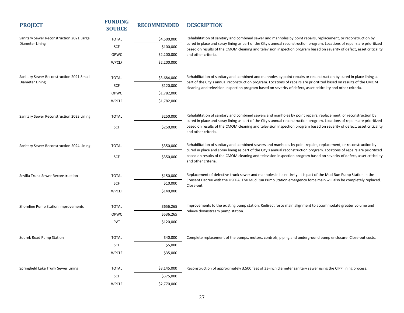| <b>PROJECT</b>                            | <b>FUNDING</b><br><b>SOURCE</b> | <b>RECOMMENDED</b> | <b>DESCRIPTION</b>                                                                                                                                                                                                                                  |
|-------------------------------------------|---------------------------------|--------------------|-----------------------------------------------------------------------------------------------------------------------------------------------------------------------------------------------------------------------------------------------------|
| Sanitary Sewer Reconstruction 2021 Large  | <b>TOTAL</b>                    | \$4,500,000        | Rehabilitation of sanitary and combined sewer and manholes by point repairs, replacement, or reconstruction by                                                                                                                                      |
| Diameter Lining                           | <b>SCF</b>                      | \$100,000          | cured in place and spray lining as part of the City's annual reconstruction program. Locations of repairs are prioritized<br>based on results of the CMOM cleaning and television inspection program based on severity of defect, asset criticality |
|                                           | OPWC                            | \$2,200,000        | and other criteria.                                                                                                                                                                                                                                 |
|                                           | <b>WPCLF</b>                    | \$2,200,000        |                                                                                                                                                                                                                                                     |
| Sanitary Sewer Reconstruction 2021 Small  | <b>TOTAL</b>                    | \$3,684,000        | Rehabilitation of sanitary and combined and manholes by point repairs or reconstruction by cured in place lining as                                                                                                                                 |
| Diameter Lining                           | SCF                             | \$120,000          | part of the City's annual reconstruction program. Locations of repairs are prioritized based on results of the CMOM<br>cleaning and television inspection program based on severity of defect, asset criticality and other criteria.                |
|                                           | OPWC                            | \$1,782,000        |                                                                                                                                                                                                                                                     |
|                                           | <b>WPCLF</b>                    | \$1,782,000        |                                                                                                                                                                                                                                                     |
| Sanitary Sewer Reconstruction 2023 Lining | <b>TOTAL</b>                    | \$250,000          | Rehabilitation of sanitary and combined sewers and manholes by point repairs, replacement, or reconstruction by<br>cured in place and spray lining as part of the City's annual reconstruction program. Locations of repairs are prioritized        |
|                                           | SCF                             | \$250,000          | based on results of the CMOM cleaning and television inspection program based on severity of defect, asset criticality<br>and other criteria.                                                                                                       |
| Sanitary Sewer Reconstruction 2024 Lining | <b>TOTAL</b>                    | \$350,000          | Rehabilitation of sanitary and combined sewers and manholes by point repairs, replacement, or reconstruction by<br>cured in place and spray lining as part of the City's annual reconstruction program. Locations of repairs are prioritized        |
|                                           | <b>SCF</b>                      | \$350,000          | based on results of the CMOM cleaning and television inspection program based on severity of defect, asset criticality<br>and other criteria.                                                                                                       |
| Sevilla Trunk Sewer Reconstruction        | <b>TOTAL</b>                    | \$150,000          | Replacement of defective trunk sewer and manholes in its entirety. It is part of the Mud Run Pump Station in the                                                                                                                                    |
|                                           | SCF                             | \$10,000           | Consent Decree with the USEPA. The Mud Run Pump Station emergency force main will also be completely replaced.<br>Close-out.                                                                                                                        |
|                                           | <b>WPCLF</b>                    | \$140,000          |                                                                                                                                                                                                                                                     |
| Shoreline Pump Station Improvements       | <b>TOTAL</b>                    | \$656,265          | Improvements to the existing pump station. Redirect force main alignment to accommodate greater volume and                                                                                                                                          |
|                                           | OPWC                            | \$536,265          | relieve downstream pump station.                                                                                                                                                                                                                    |
|                                           | <b>PVT</b>                      | \$120,000          |                                                                                                                                                                                                                                                     |
|                                           |                                 |                    |                                                                                                                                                                                                                                                     |
| Sourek Road Pump Station                  | <b>TOTAL</b>                    | \$40,000           | Complete replacement of the pumps, motors, controls, piping and underground pump enclosure. Close-out costs.                                                                                                                                        |
|                                           | SCF                             | \$5,000            |                                                                                                                                                                                                                                                     |
|                                           | <b>WPCLF</b>                    | \$35,000           |                                                                                                                                                                                                                                                     |
| Springfield Lake Trunk Sewer Lining       | <b>TOTAL</b>                    | \$3,145,000        | Reconstruction of approximately 3,500 feet of 33-inch diameter sanitary sewer using the CIPP lining process.                                                                                                                                        |
|                                           | <b>SCF</b>                      | \$375,000          |                                                                                                                                                                                                                                                     |
|                                           | <b>WPCLF</b>                    | \$2,770,000        |                                                                                                                                                                                                                                                     |